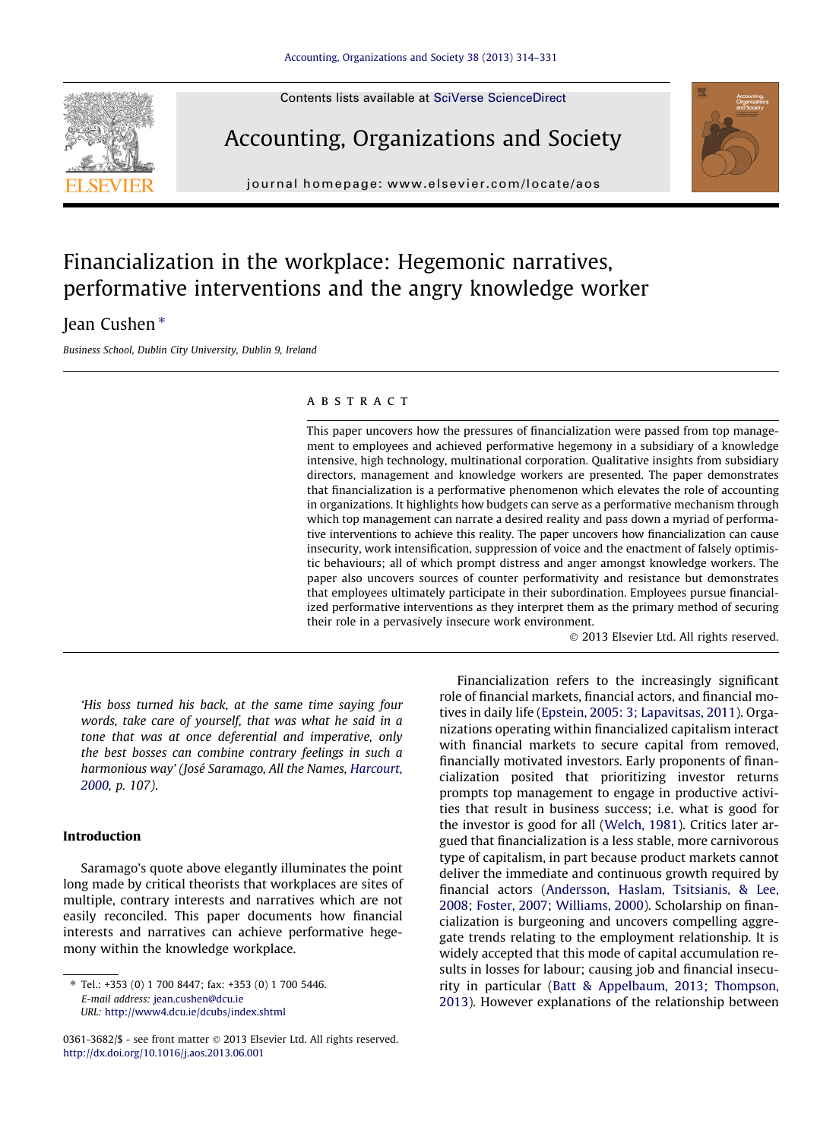

Contents lists available at [SciVerse ScienceDirect](http://www.sciencedirect.com/science/journal/03613682)

# Accounting, Organizations and Society

journal homepage: [www.elsevier.com/locate/aos](http://www.elsevier.com/locate/aos)

# Financialization in the workplace: Hegemonic narratives, performative interventions and the angry knowledge worker

# Jean Cushen\*

Business School, Dublin City University, Dublin 9, Ireland

# **ABSTRACT**

This paper uncovers how the pressures of financialization were passed from top management to employees and achieved performative hegemony in a subsidiary of a knowledge intensive, high technology, multinational corporation. Qualitative insights from subsidiary directors, management and knowledge workers are presented. The paper demonstrates that financialization is a performative phenomenon which elevates the role of accounting in organizations. It highlights how budgets can serve as a performative mechanism through which top management can narrate a desired reality and pass down a myriad of performative interventions to achieve this reality. The paper uncovers how financialization can cause insecurity, work intensification, suppression of voice and the enactment of falsely optimistic behaviours; all of which prompt distress and anger amongst knowledge workers. The paper also uncovers sources of counter performativity and resistance but demonstrates that employees ultimately participate in their subordination. Employees pursue financialized performative interventions as they interpret them as the primary method of securing their role in a pervasively insecure work environment.

- 2013 Elsevier Ltd. All rights reserved.

'His boss turned his back, at the same time saying four words, take care of yourself, that was what he said in a tone that was at once deferential and imperative, only the best bosses can combine contrary feelings in such a harmonious way' (José Saramago, All the Names, [Harcourt,](#page-16-0) [2000,](#page-16-0) p. 107).

# Introduction

Saramago's quote above elegantly illuminates the point long made by critical theorists that workplaces are sites of multiple, contrary interests and narratives which are not easily reconciled. This paper documents how financial interests and narratives can achieve performative hegemony within the knowledge workplace.

Financialization refers to the increasingly significant role of financial markets, financial actors, and financial motives in daily life ([Epstein, 2005: 3; Lapavitsas, 2011](#page-16-0)). Organizations operating within financialized capitalism interact with financial markets to secure capital from removed, financially motivated investors. Early proponents of financialization posited that prioritizing investor returns prompts top management to engage in productive activities that result in business success; i.e. what is good for the investor is good for all ([Welch, 1981\)](#page-17-0). Critics later argued that financialization is a less stable, more carnivorous type of capitalism, in part because product markets cannot deliver the immediate and continuous growth required by financial actors ([Andersson, Haslam, Tsitsianis, & Lee,](#page-15-0) [2008; Foster, 2007; Williams, 2000](#page-15-0)). Scholarship on financialization is burgeoning and uncovers compelling aggregate trends relating to the employment relationship. It is widely accepted that this mode of capital accumulation results in losses for labour; causing job and financial insecurity in particular [\(Batt & Appelbaum, 2013; Thompson,](#page-15-0) [2013](#page-15-0)). However explanations of the relationship between

<sup>⇑</sup> Tel.: +353 (0) 1 700 8447; fax: +353 (0) 1 700 5446. E-mail address: [jean.cushen@dcu.ie](mailto:jean.cushen@dcu.ie) URL: <http://www4.dcu.ie/dcubs/index.shtml>

<sup>0361-3682/\$ -</sup> see front matter © 2013 Elsevier Ltd. All rights reserved. <http://dx.doi.org/10.1016/j.aos.2013.06.001>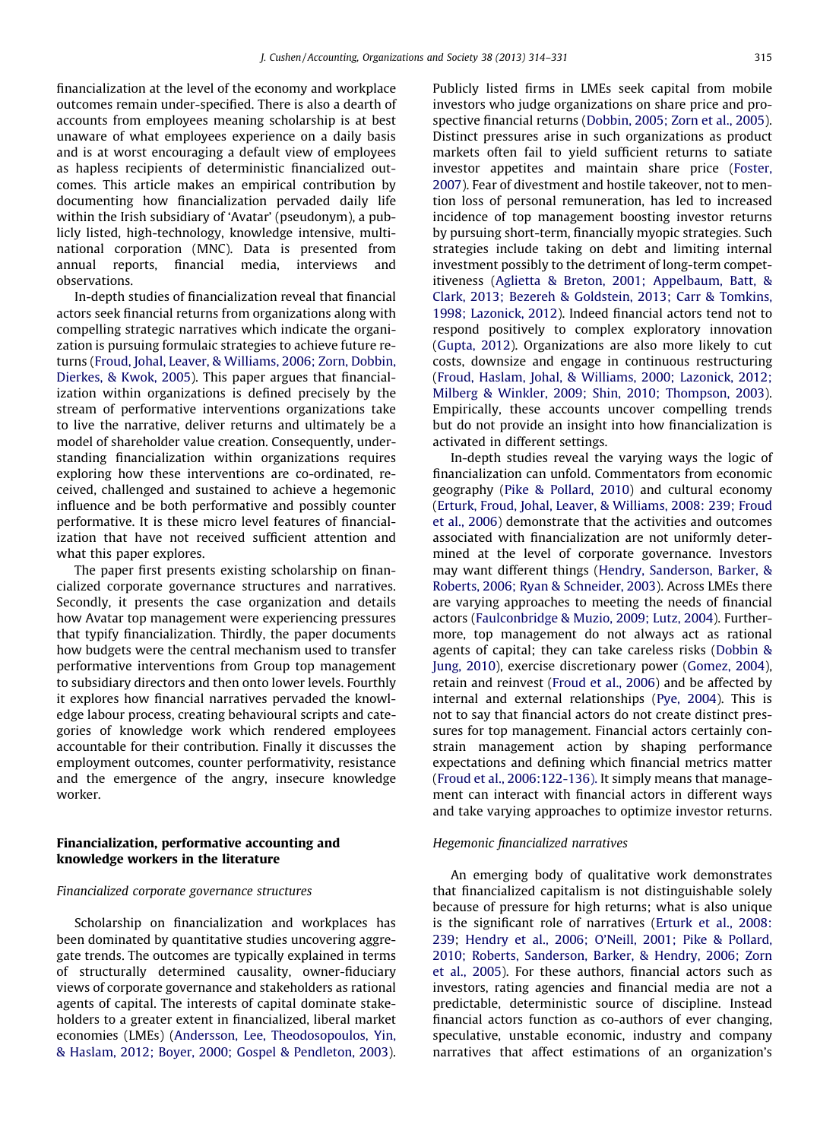financialization at the level of the economy and workplace outcomes remain under-specified. There is also a dearth of accounts from employees meaning scholarship is at best unaware of what employees experience on a daily basis and is at worst encouraging a default view of employees as hapless recipients of deterministic financialized outcomes. This article makes an empirical contribution by documenting how financialization pervaded daily life within the Irish subsidiary of 'Avatar' (pseudonym), a publicly listed, high-technology, knowledge intensive, multinational corporation (MNC). Data is presented from annual reports, financial media, interviews and observations.

In-depth studies of financialization reveal that financial actors seek financial returns from organizations along with compelling strategic narratives which indicate the organization is pursuing formulaic strategies to achieve future returns ([Froud, Johal, Leaver, & Williams, 2006; Zorn, Dobbin,](#page-16-0) [Dierkes, & Kwok, 2005](#page-16-0)). This paper argues that financialization within organizations is defined precisely by the stream of performative interventions organizations take to live the narrative, deliver returns and ultimately be a model of shareholder value creation. Consequently, understanding financialization within organizations requires exploring how these interventions are co-ordinated, received, challenged and sustained to achieve a hegemonic influence and be both performative and possibly counter performative. It is these micro level features of financialization that have not received sufficient attention and what this paper explores.

The paper first presents existing scholarship on financialized corporate governance structures and narratives. Secondly, it presents the case organization and details how Avatar top management were experiencing pressures that typify financialization. Thirdly, the paper documents how budgets were the central mechanism used to transfer performative interventions from Group top management to subsidiary directors and then onto lower levels. Fourthly it explores how financial narratives pervaded the knowledge labour process, creating behavioural scripts and categories of knowledge work which rendered employees accountable for their contribution. Finally it discusses the employment outcomes, counter performativity, resistance and the emergence of the angry, insecure knowledge worker.

# Financialization, performative accounting and knowledge workers in the literature

#### Financialized corporate governance structures

Scholarship on financialization and workplaces has been dominated by quantitative studies uncovering aggregate trends. The outcomes are typically explained in terms of structurally determined causality, owner-fiduciary views of corporate governance and stakeholders as rational agents of capital. The interests of capital dominate stakeholders to a greater extent in financialized, liberal market economies (LMEs) ([Andersson, Lee, Theodosopoulos, Yin,](#page-15-0) [& Haslam, 2012; Boyer, 2000; Gospel & Pendleton, 2003](#page-15-0)). Publicly listed firms in LMEs seek capital from mobile investors who judge organizations on share price and prospective financial returns [\(Dobbin, 2005; Zorn et al., 2005](#page-16-0)). Distinct pressures arise in such organizations as product markets often fail to yield sufficient returns to satiate investor appetites and maintain share price [\(Foster,](#page-16-0) [2007\)](#page-16-0). Fear of divestment and hostile takeover, not to mention loss of personal remuneration, has led to increased incidence of top management boosting investor returns by pursuing short-term, financially myopic strategies. Such strategies include taking on debt and limiting internal investment possibly to the detriment of long-term competitiveness ([Aglietta & Breton, 2001; Appelbaum, Batt, &](#page-15-0) [Clark, 2013; Bezereh & Goldstein, 2013; Carr & Tomkins,](#page-15-0) [1998; Lazonick, 2012](#page-15-0)). Indeed financial actors tend not to respond positively to complex exploratory innovation [\(Gupta, 2012\)](#page-16-0). Organizations are also more likely to cut costs, downsize and engage in continuous restructuring [\(Froud, Haslam, Johal, & Williams, 2000; Lazonick, 2012;](#page-16-0) [Milberg & Winkler, 2009; Shin, 2010; Thompson, 2003](#page-16-0)). Empirically, these accounts uncover compelling trends but do not provide an insight into how financialization is activated in different settings.

In-depth studies reveal the varying ways the logic of financialization can unfold. Commentators from economic geography ([Pike & Pollard, 2010\)](#page-16-0) and cultural economy [\(Erturk, Froud, Johal, Leaver, & Williams, 2008: 239; Froud](#page-16-0) [et al., 2006](#page-16-0)) demonstrate that the activities and outcomes associated with financialization are not uniformly determined at the level of corporate governance. Investors may want different things [\(Hendry, Sanderson, Barker, &](#page-16-0) [Roberts, 2006; Ryan & Schneider, 2003](#page-16-0)). Across LMEs there are varying approaches to meeting the needs of financial actors [\(Faulconbridge & Muzio, 2009; Lutz, 2004\)](#page-16-0). Furthermore, top management do not always act as rational agents of capital; they can take careless risks [\(Dobbin &](#page-16-0) [Jung, 2010\)](#page-16-0), exercise discretionary power ([Gomez, 2004](#page-16-0)), retain and reinvest ([Froud et al., 2006\)](#page-16-0) and be affected by internal and external relationships ([Pye, 2004\)](#page-16-0). This is not to say that financial actors do not create distinct pressures for top management. Financial actors certainly constrain management action by shaping performance expectations and defining which financial metrics matter [\(Froud et al., 2006:122-136\).](#page-16-0) It simply means that management can interact with financial actors in different ways and take varying approaches to optimize investor returns.

#### Hegemonic financialized narratives

An emerging body of qualitative work demonstrates that financialized capitalism is not distinguishable solely because of pressure for high returns; what is also unique is the significant role of narratives [\(Erturk et al., 2008:](#page-16-0) [239](#page-16-0); [Hendry et al., 2006; O'Neill, 2001; Pike & Pollard,](#page-16-0) [2010; Roberts, Sanderson, Barker, & Hendry, 2006; Zorn](#page-16-0) [et al., 2005\)](#page-16-0). For these authors, financial actors such as investors, rating agencies and financial media are not a predictable, deterministic source of discipline. Instead financial actors function as co-authors of ever changing, speculative, unstable economic, industry and company narratives that affect estimations of an organization's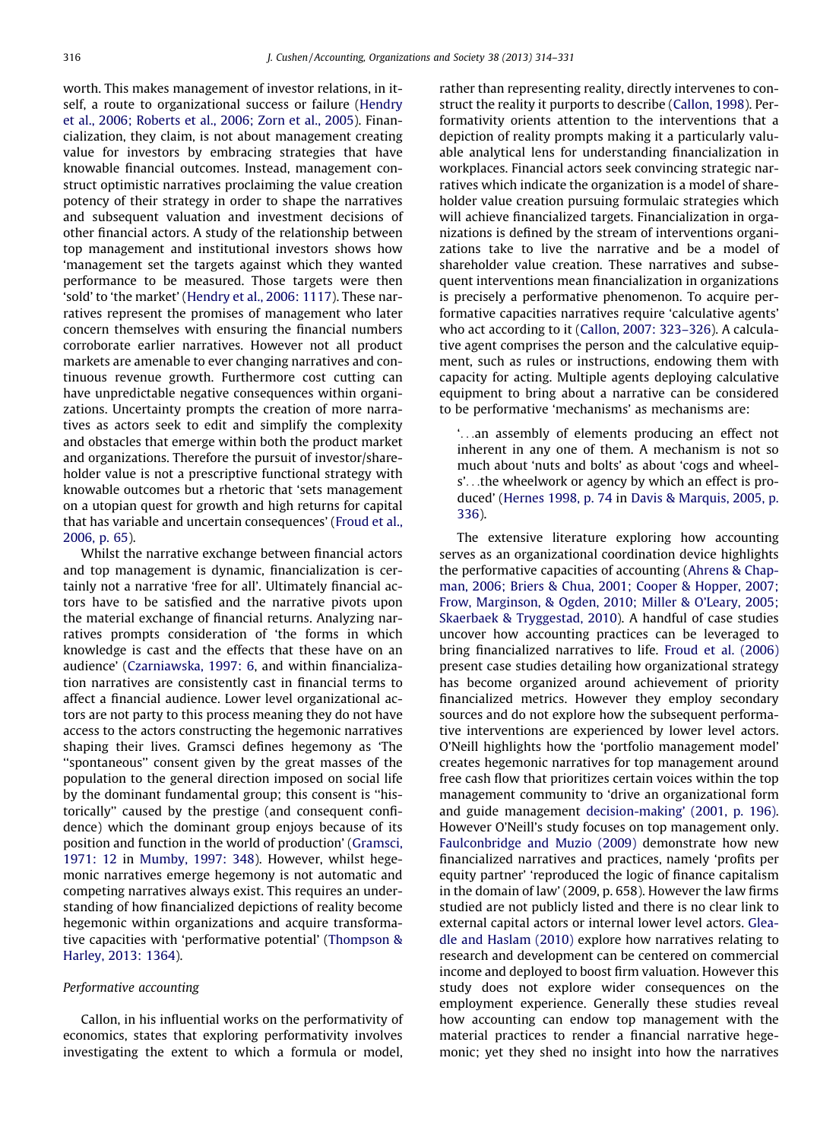worth. This makes management of investor relations, in itself, a route to organizational success or failure [\(Hendry](#page-16-0) [et al., 2006; Roberts et al., 2006; Zorn et al., 2005\)](#page-16-0). Financialization, they claim, is not about management creating value for investors by embracing strategies that have knowable financial outcomes. Instead, management construct optimistic narratives proclaiming the value creation potency of their strategy in order to shape the narratives and subsequent valuation and investment decisions of other financial actors. A study of the relationship between top management and institutional investors shows how 'management set the targets against which they wanted performance to be measured. Those targets were then 'sold' to 'the market' ([Hendry et al., 2006: 1117](#page-16-0)). These narratives represent the promises of management who later concern themselves with ensuring the financial numbers corroborate earlier narratives. However not all product markets are amenable to ever changing narratives and continuous revenue growth. Furthermore cost cutting can have unpredictable negative consequences within organizations. Uncertainty prompts the creation of more narratives as actors seek to edit and simplify the complexity and obstacles that emerge within both the product market and organizations. Therefore the pursuit of investor/shareholder value is not a prescriptive functional strategy with knowable outcomes but a rhetoric that 'sets management on a utopian quest for growth and high returns for capital that has variable and uncertain consequences' ([Froud et al.,](#page-16-0) [2006, p. 65\)](#page-16-0).

Whilst the narrative exchange between financial actors and top management is dynamic, financialization is certainly not a narrative 'free for all'. Ultimately financial actors have to be satisfied and the narrative pivots upon the material exchange of financial returns. Analyzing narratives prompts consideration of 'the forms in which knowledge is cast and the effects that these have on an audience' [\(Czarniawska, 1997: 6,](#page-15-0) and within financialization narratives are consistently cast in financial terms to affect a financial audience. Lower level organizational actors are not party to this process meaning they do not have access to the actors constructing the hegemonic narratives shaping their lives. Gramsci defines hegemony as 'The ''spontaneous'' consent given by the great masses of the population to the general direction imposed on social life by the dominant fundamental group; this consent is ''historically'' caused by the prestige (and consequent confidence) which the dominant group enjoys because of its position and function in the world of production' [\(Gramsci,](#page-16-0) [1971: 12](#page-16-0) in [Mumby, 1997: 348\)](#page-16-0). However, whilst hegemonic narratives emerge hegemony is not automatic and competing narratives always exist. This requires an understanding of how financialized depictions of reality become hegemonic within organizations and acquire transformative capacities with 'performative potential' [\(Thompson &](#page-17-0) [Harley, 2013: 1364](#page-17-0)).

#### Performative accounting

Callon, in his influential works on the performativity of economics, states that exploring performativity involves investigating the extent to which a formula or model, rather than representing reality, directly intervenes to construct the reality it purports to describe ([Callon, 1998](#page-15-0)). Performativity orients attention to the interventions that a depiction of reality prompts making it a particularly valuable analytical lens for understanding financialization in workplaces. Financial actors seek convincing strategic narratives which indicate the organization is a model of shareholder value creation pursuing formulaic strategies which will achieve financialized targets. Financialization in organizations is defined by the stream of interventions organizations take to live the narrative and be a model of shareholder value creation. These narratives and subsequent interventions mean financialization in organizations is precisely a performative phenomenon. To acquire performative capacities narratives require 'calculative agents' who act according to it [\(Callon, 2007: 323–326](#page-15-0)). A calculative agent comprises the person and the calculative equipment, such as rules or instructions, endowing them with capacity for acting. Multiple agents deploying calculative equipment to bring about a narrative can be considered to be performative 'mechanisms' as mechanisms are:

'...an assembly of elements producing an effect not inherent in any one of them. A mechanism is not so much about 'nuts and bolts' as about 'cogs and wheels'...the wheelwork or agency by which an effect is produced' [\(Hernes 1998, p. 74](#page-16-0) in [Davis & Marquis, 2005, p.](#page-16-0) [336](#page-16-0)).

The extensive literature exploring how accounting serves as an organizational coordination device highlights the performative capacities of accounting [\(Ahrens & Chap](#page-15-0)[man, 2006; Briers & Chua, 2001; Cooper & Hopper, 2007;](#page-15-0) [Frow, Marginson, & Ogden, 2010; Miller & O'Leary, 2005;](#page-15-0) [Skaerbaek & Tryggestad, 2010\)](#page-15-0). A handful of case studies uncover how accounting practices can be leveraged to bring financialized narratives to life. [Froud et al. \(2006\)](#page-16-0) present case studies detailing how organizational strategy has become organized around achievement of priority financialized metrics. However they employ secondary sources and do not explore how the subsequent performative interventions are experienced by lower level actors. O'Neill highlights how the 'portfolio management model' creates hegemonic narratives for top management around free cash flow that prioritizes certain voices within the top management community to 'drive an organizational form and guide management [decision-making' \(2001, p. 196\)](#page-16-0). However O'Neill's study focuses on top management only. [Faulconbridge and Muzio \(2009\)](#page-16-0) demonstrate how new financialized narratives and practices, namely 'profits per equity partner' 'reproduced the logic of finance capitalism in the domain of law' (2009, p. 658). However the law firms studied are not publicly listed and there is no clear link to external capital actors or internal lower level actors. [Glea](#page-16-0)[dle and Haslam \(2010\)](#page-16-0) explore how narratives relating to research and development can be centered on commercial income and deployed to boost firm valuation. However this study does not explore wider consequences on the employment experience. Generally these studies reveal how accounting can endow top management with the material practices to render a financial narrative hegemonic; yet they shed no insight into how the narratives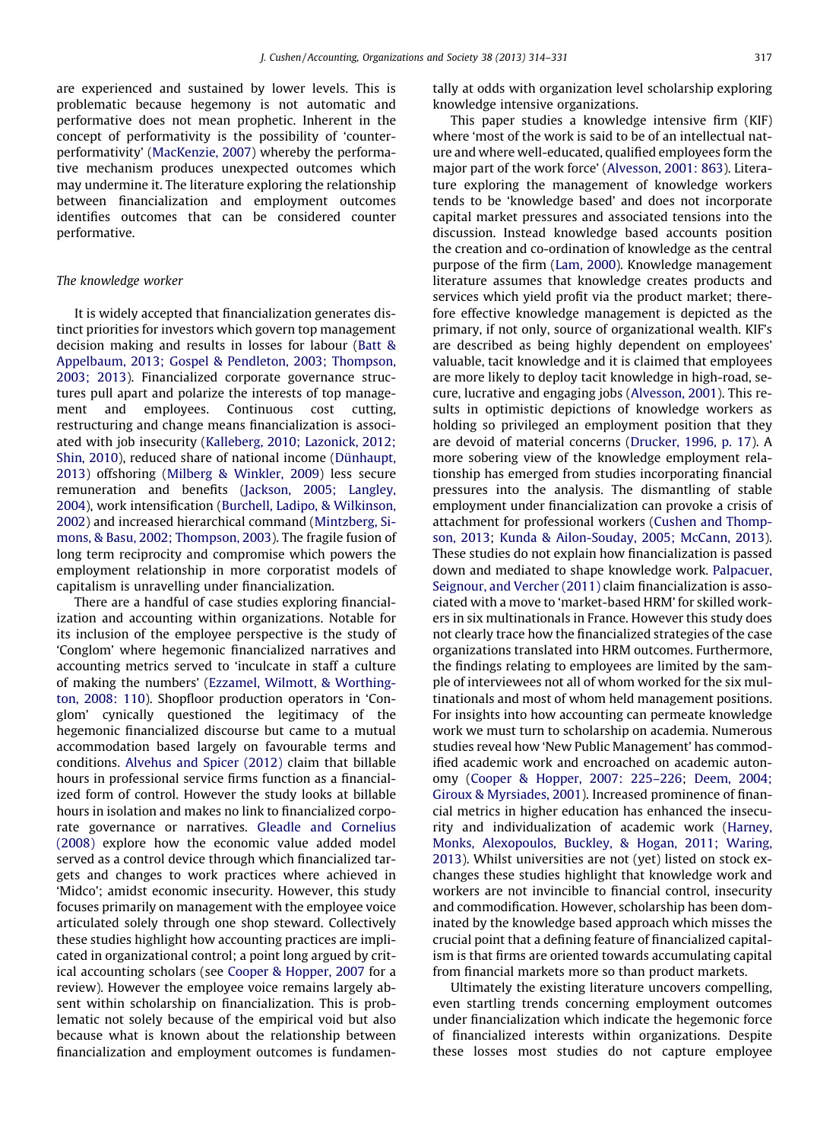are experienced and sustained by lower levels. This is problematic because hegemony is not automatic and performative does not mean prophetic. Inherent in the concept of performativity is the possibility of 'counterperformativity' [\(MacKenzie, 2007\)](#page-16-0) whereby the performative mechanism produces unexpected outcomes which may undermine it. The literature exploring the relationship between financialization and employment outcomes identifies outcomes that can be considered counter performative.

#### The knowledge worker

It is widely accepted that financialization generates distinct priorities for investors which govern top management decision making and results in losses for labour [\(Batt &](#page-15-0) [Appelbaum, 2013; Gospel & Pendleton, 2003; Thompson,](#page-15-0) [2003; 2013](#page-15-0)). Financialized corporate governance structures pull apart and polarize the interests of top management and employees. Continuous cost cutting, restructuring and change means financialization is associated with job insecurity [\(Kalleberg, 2010; Lazonick, 2012;](#page-16-0) [Shin, 2010\)](#page-16-0), reduced share of national income [\(Dünhaupt,](#page-16-0) [2013\)](#page-16-0) offshoring ([Milberg & Winkler, 2009](#page-16-0)) less secure remuneration and benefits [\(Jackson, 2005; Langley,](#page-16-0) [2004\)](#page-16-0), work intensification ([Burchell, Ladipo, & Wilkinson,](#page-15-0) [2002\)](#page-15-0) and increased hierarchical command ([Mintzberg, Si](#page-16-0)[mons, & Basu, 2002; Thompson, 2003\)](#page-16-0). The fragile fusion of long term reciprocity and compromise which powers the employment relationship in more corporatist models of capitalism is unravelling under financialization.

There are a handful of case studies exploring financialization and accounting within organizations. Notable for its inclusion of the employee perspective is the study of 'Conglom' where hegemonic financialized narratives and accounting metrics served to 'inculcate in staff a culture of making the numbers' [\(Ezzamel, Wilmott, & Worthing](#page-16-0)[ton, 2008: 110](#page-16-0)). Shopfloor production operators in 'Conglom' cynically questioned the legitimacy of the hegemonic financialized discourse but came to a mutual accommodation based largely on favourable terms and conditions. [Alvehus and Spicer \(2012\)](#page-15-0) claim that billable hours in professional service firms function as a financialized form of control. However the study looks at billable hours in isolation and makes no link to financialized corporate governance or narratives. [Gleadle and Cornelius](#page-16-0) [\(2008\)](#page-16-0) explore how the economic value added model served as a control device through which financialized targets and changes to work practices where achieved in 'Midco'; amidst economic insecurity. However, this study focuses primarily on management with the employee voice articulated solely through one shop steward. Collectively these studies highlight how accounting practices are implicated in organizational control; a point long argued by critical accounting scholars (see [Cooper & Hopper, 2007](#page-15-0) for a review). However the employee voice remains largely absent within scholarship on financialization. This is problematic not solely because of the empirical void but also because what is known about the relationship between financialization and employment outcomes is fundamentally at odds with organization level scholarship exploring knowledge intensive organizations.

This paper studies a knowledge intensive firm (KIF) where 'most of the work is said to be of an intellectual nature and where well-educated, qualified employees form the major part of the work force' ([Alvesson, 2001: 863](#page-15-0)). Literature exploring the management of knowledge workers tends to be 'knowledge based' and does not incorporate capital market pressures and associated tensions into the discussion. Instead knowledge based accounts position the creation and co-ordination of knowledge as the central purpose of the firm ([Lam, 2000](#page-16-0)). Knowledge management literature assumes that knowledge creates products and services which yield profit via the product market; therefore effective knowledge management is depicted as the primary, if not only, source of organizational wealth. KIF's are described as being highly dependent on employees' valuable, tacit knowledge and it is claimed that employees are more likely to deploy tacit knowledge in high-road, secure, lucrative and engaging jobs ([Alvesson, 2001](#page-15-0)). This results in optimistic depictions of knowledge workers as holding so privileged an employment position that they are devoid of material concerns ([Drucker, 1996, p. 17\)](#page-16-0). A more sobering view of the knowledge employment relationship has emerged from studies incorporating financial pressures into the analysis. The dismantling of stable employment under financialization can provoke a crisis of attachment for professional workers [\(Cushen and Thomp](#page-15-0)[son, 2013](#page-15-0); [Kunda & Ailon-Souday, 2005; McCann, 2013](#page-16-0)). These studies do not explain how financialization is passed down and mediated to shape knowledge work. [Palpacuer,](#page-16-0) [Seignour, and Vercher \(2011\)](#page-16-0) claim financialization is associated with a move to 'market-based HRM' for skilled workers in six multinationals in France. However this study does not clearly trace how the financialized strategies of the case organizations translated into HRM outcomes. Furthermore, the findings relating to employees are limited by the sample of interviewees not all of whom worked for the six multinationals and most of whom held management positions. For insights into how accounting can permeate knowledge work we must turn to scholarship on academia. Numerous studies reveal how 'New Public Management' has commodified academic work and encroached on academic autonomy ([Cooper & Hopper, 2007: 225–226](#page-15-0); [Deem, 2004;](#page-16-0) [Giroux & Myrsiades, 2001\)](#page-16-0). Increased prominence of financial metrics in higher education has enhanced the insecurity and individualization of academic work ([Harney,](#page-16-0) [Monks, Alexopoulos, Buckley, & Hogan, 2011; Waring,](#page-16-0) [2013\)](#page-16-0). Whilst universities are not (yet) listed on stock exchanges these studies highlight that knowledge work and workers are not invincible to financial control, insecurity and commodification. However, scholarship has been dominated by the knowledge based approach which misses the crucial point that a defining feature of financialized capitalism is that firms are oriented towards accumulating capital from financial markets more so than product markets.

Ultimately the existing literature uncovers compelling, even startling trends concerning employment outcomes under financialization which indicate the hegemonic force of financialized interests within organizations. Despite these losses most studies do not capture employee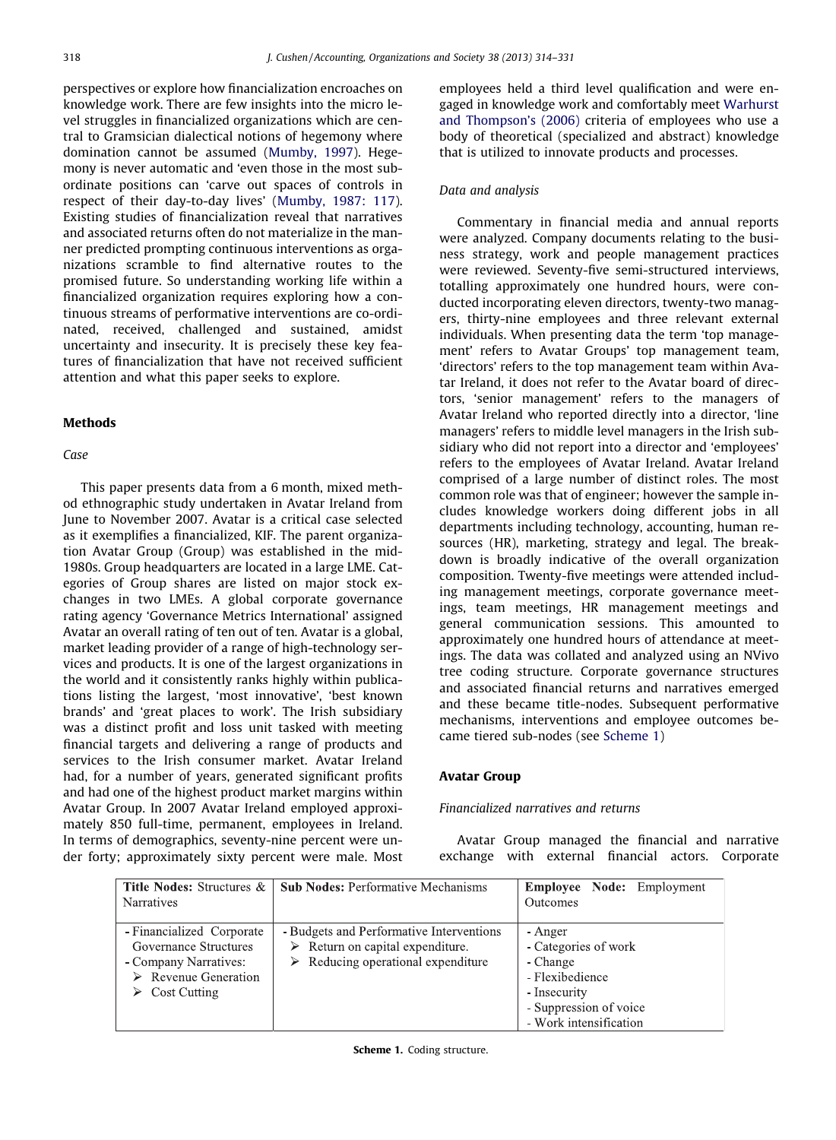perspectives or explore how financialization encroaches on knowledge work. There are few insights into the micro level struggles in financialized organizations which are central to Gramsician dialectical notions of hegemony where domination cannot be assumed [\(Mumby, 1997](#page-16-0)). Hegemony is never automatic and 'even those in the most subordinate positions can 'carve out spaces of controls in respect of their day-to-day lives' ([Mumby, 1987: 117](#page-16-0)). Existing studies of financialization reveal that narratives and associated returns often do not materialize in the manner predicted prompting continuous interventions as organizations scramble to find alternative routes to the promised future. So understanding working life within a financialized organization requires exploring how a continuous streams of performative interventions are co-ordinated, received, challenged and sustained, amidst uncertainty and insecurity. It is precisely these key features of financialization that have not received sufficient attention and what this paper seeks to explore.

## Methods

# Case

This paper presents data from a 6 month, mixed method ethnographic study undertaken in Avatar Ireland from June to November 2007. Avatar is a critical case selected as it exemplifies a financialized, KIF. The parent organization Avatar Group (Group) was established in the mid-1980s. Group headquarters are located in a large LME. Categories of Group shares are listed on major stock exchanges in two LMEs. A global corporate governance rating agency 'Governance Metrics International' assigned Avatar an overall rating of ten out of ten. Avatar is a global, market leading provider of a range of high-technology services and products. It is one of the largest organizations in the world and it consistently ranks highly within publications listing the largest, 'most innovative', 'best known brands' and 'great places to work'. The Irish subsidiary was a distinct profit and loss unit tasked with meeting financial targets and delivering a range of products and services to the Irish consumer market. Avatar Ireland had, for a number of years, generated significant profits and had one of the highest product market margins within Avatar Group. In 2007 Avatar Ireland employed approximately 850 full-time, permanent, employees in Ireland. In terms of demographics, seventy-nine percent were under forty; approximately sixty percent were male. Most employees held a third level qualification and were engaged in knowledge work and comfortably meet [Warhurst](#page-17-0) [and Thompson's \(2006\)](#page-17-0) criteria of employees who use a body of theoretical (specialized and abstract) knowledge that is utilized to innovate products and processes.

## Data and analysis

Commentary in financial media and annual reports were analyzed. Company documents relating to the business strategy, work and people management practices were reviewed. Seventy-five semi-structured interviews, totalling approximately one hundred hours, were conducted incorporating eleven directors, twenty-two managers, thirty-nine employees and three relevant external individuals. When presenting data the term 'top management' refers to Avatar Groups' top management team, 'directors' refers to the top management team within Avatar Ireland, it does not refer to the Avatar board of directors, 'senior management' refers to the managers of Avatar Ireland who reported directly into a director, 'line managers' refers to middle level managers in the Irish subsidiary who did not report into a director and 'employees' refers to the employees of Avatar Ireland. Avatar Ireland comprised of a large number of distinct roles. The most common role was that of engineer; however the sample includes knowledge workers doing different jobs in all departments including technology, accounting, human resources (HR), marketing, strategy and legal. The breakdown is broadly indicative of the overall organization composition. Twenty-five meetings were attended including management meetings, corporate governance meetings, team meetings, HR management meetings and general communication sessions. This amounted to approximately one hundred hours of attendance at meetings. The data was collated and analyzed using an NVivo tree coding structure. Corporate governance structures and associated financial returns and narratives emerged and these became title-nodes. Subsequent performative mechanisms, interventions and employee outcomes became tiered sub-nodes (see Scheme 1)

### Avatar Group

### Financialized narratives and returns

Avatar Group managed the financial and narrative exchange with external financial actors. Corporate

| <b>Title Nodes:</b> Structures $\&$  <br><b>Narratives</b>                                                                         | <b>Sub Nodes: Performative Mechanisms</b>                                                                                                        | <b>Employee Node:</b> Employment<br>Outcomes                                                                                       |
|------------------------------------------------------------------------------------------------------------------------------------|--------------------------------------------------------------------------------------------------------------------------------------------------|------------------------------------------------------------------------------------------------------------------------------------|
| - Financialized Corporate<br>Governance Structures<br>- Company Narratives:<br>Revenue Generation<br>$\triangleright$ Cost Cutting | - Budgets and Performative Interventions<br>$\triangleright$ Return on capital expenditure.<br>$\triangleright$ Reducing operational expenditure | - Anger<br>- Categories of work<br>- Change<br>- Flexibedience<br>- Insecurity<br>- Suppression of voice<br>- Work intensification |

Scheme 1. Coding structure.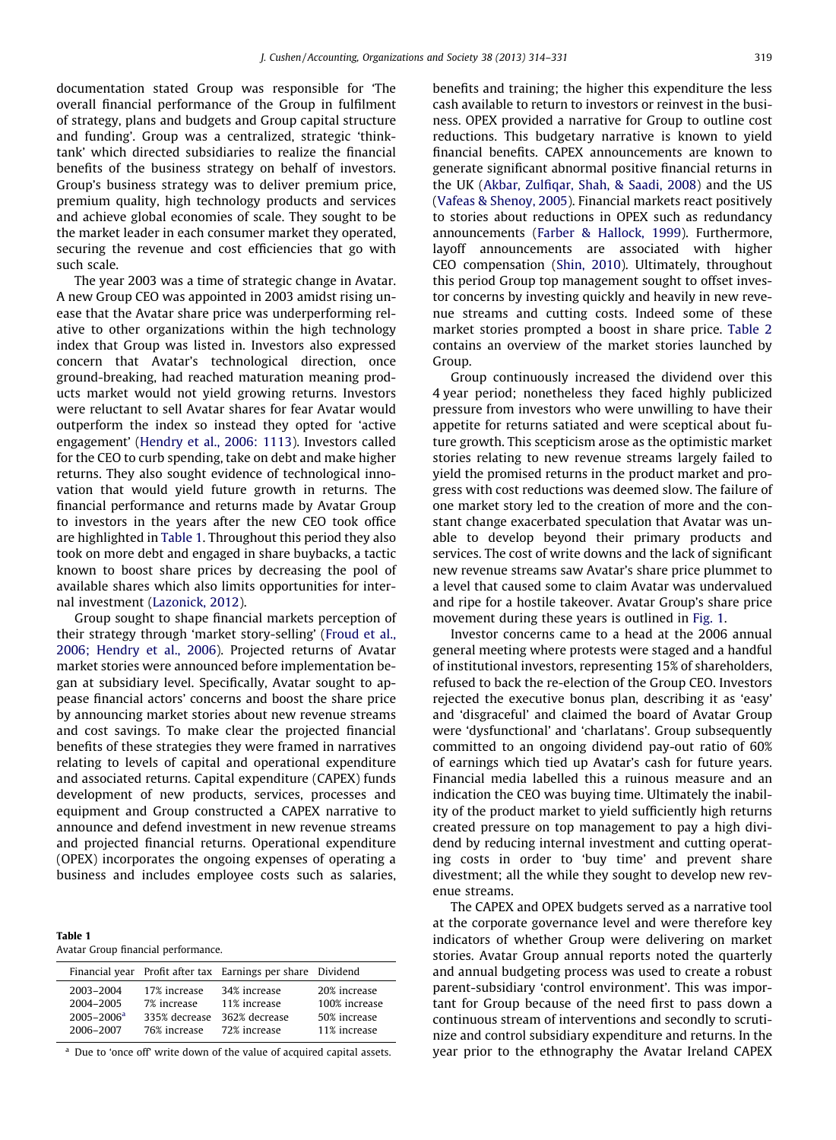documentation stated Group was responsible for 'The overall financial performance of the Group in fulfilment of strategy, plans and budgets and Group capital structure and funding'. Group was a centralized, strategic 'thinktank' which directed subsidiaries to realize the financial benefits of the business strategy on behalf of investors. Group's business strategy was to deliver premium price, premium quality, high technology products and services and achieve global economies of scale. They sought to be the market leader in each consumer market they operated, securing the revenue and cost efficiencies that go with such scale.

The year 2003 was a time of strategic change in Avatar. A new Group CEO was appointed in 2003 amidst rising unease that the Avatar share price was underperforming relative to other organizations within the high technology index that Group was listed in. Investors also expressed concern that Avatar's technological direction, once ground-breaking, had reached maturation meaning products market would not yield growing returns. Investors were reluctant to sell Avatar shares for fear Avatar would outperform the index so instead they opted for 'active engagement' [\(Hendry et al., 2006: 1113](#page-16-0)). Investors called for the CEO to curb spending, take on debt and make higher returns. They also sought evidence of technological innovation that would yield future growth in returns. The financial performance and returns made by Avatar Group to investors in the years after the new CEO took office are highlighted in Table 1. Throughout this period they also took on more debt and engaged in share buybacks, a tactic known to boost share prices by decreasing the pool of available shares which also limits opportunities for internal investment [\(Lazonick, 2012\)](#page-16-0).

Group sought to shape financial markets perception of their strategy through 'market story-selling' [\(Froud et al.,](#page-16-0) [2006; Hendry et al., 2006\)](#page-16-0). Projected returns of Avatar market stories were announced before implementation began at subsidiary level. Specifically, Avatar sought to appease financial actors' concerns and boost the share price by announcing market stories about new revenue streams and cost savings. To make clear the projected financial benefits of these strategies they were framed in narratives relating to levels of capital and operational expenditure and associated returns. Capital expenditure (CAPEX) funds development of new products, services, processes and equipment and Group constructed a CAPEX narrative to announce and defend investment in new revenue streams and projected financial returns. Operational expenditure (OPEX) incorporates the ongoing expenses of operating a business and includes employee costs such as salaries,

Avatar Group financial performance.

Table 1

|                                                        |                                                              | Financial year Profit after tax Earnings per share Dividend   |                                                               |
|--------------------------------------------------------|--------------------------------------------------------------|---------------------------------------------------------------|---------------------------------------------------------------|
| 2003-2004<br>2004-2005<br>$2005 - 2006^a$<br>2006-2007 | 17% increase<br>7% increase<br>335% decrease<br>76% increase | 34% increase<br>11% increase<br>362% decrease<br>72% increase | 20% increase<br>100% increase<br>50% increase<br>11% increase |
|                                                        |                                                              |                                                               |                                                               |

<sup>a</sup> Due to 'once off' write down of the value of acquired capital assets.

benefits and training; the higher this expenditure the less cash available to return to investors or reinvest in the business. OPEX provided a narrative for Group to outline cost reductions. This budgetary narrative is known to yield financial benefits. CAPEX announcements are known to generate significant abnormal positive financial returns in the UK [\(Akbar, Zulfiqar, Shah, & Saadi, 2008\)](#page-15-0) and the US [\(Vafeas & Shenoy, 2005\)](#page-17-0). Financial markets react positively to stories about reductions in OPEX such as redundancy announcements [\(Farber & Hallock, 1999\)](#page-16-0). Furthermore, layoff announcements are associated with higher CEO compensation ([Shin, 2010](#page-16-0)). Ultimately, throughout this period Group top management sought to offset investor concerns by investing quickly and heavily in new revenue streams and cutting costs. Indeed some of these market stories prompted a boost in share price. [Table 2](#page-6-0) contains an overview of the market stories launched by Group.

Group continuously increased the dividend over this 4 year period; nonetheless they faced highly publicized pressure from investors who were unwilling to have their appetite for returns satiated and were sceptical about future growth. This scepticism arose as the optimistic market stories relating to new revenue streams largely failed to yield the promised returns in the product market and progress with cost reductions was deemed slow. The failure of one market story led to the creation of more and the constant change exacerbated speculation that Avatar was unable to develop beyond their primary products and services. The cost of write downs and the lack of significant new revenue streams saw Avatar's share price plummet to a level that caused some to claim Avatar was undervalued and ripe for a hostile takeover. Avatar Group's share price movement during these years is outlined in [Fig. 1.](#page-6-0)

Investor concerns came to a head at the 2006 annual general meeting where protests were staged and a handful of institutional investors, representing 15% of shareholders, refused to back the re-election of the Group CEO. Investors rejected the executive bonus plan, describing it as 'easy' and 'disgraceful' and claimed the board of Avatar Group were 'dysfunctional' and 'charlatans'. Group subsequently committed to an ongoing dividend pay-out ratio of 60% of earnings which tied up Avatar's cash for future years. Financial media labelled this a ruinous measure and an indication the CEO was buying time. Ultimately the inability of the product market to yield sufficiently high returns created pressure on top management to pay a high dividend by reducing internal investment and cutting operating costs in order to 'buy time' and prevent share divestment; all the while they sought to develop new revenue streams.

The CAPEX and OPEX budgets served as a narrative tool at the corporate governance level and were therefore key indicators of whether Group were delivering on market stories. Avatar Group annual reports noted the quarterly and annual budgeting process was used to create a robust parent-subsidiary 'control environment'. This was important for Group because of the need first to pass down a continuous stream of interventions and secondly to scrutinize and control subsidiary expenditure and returns. In the year prior to the ethnography the Avatar Ireland CAPEX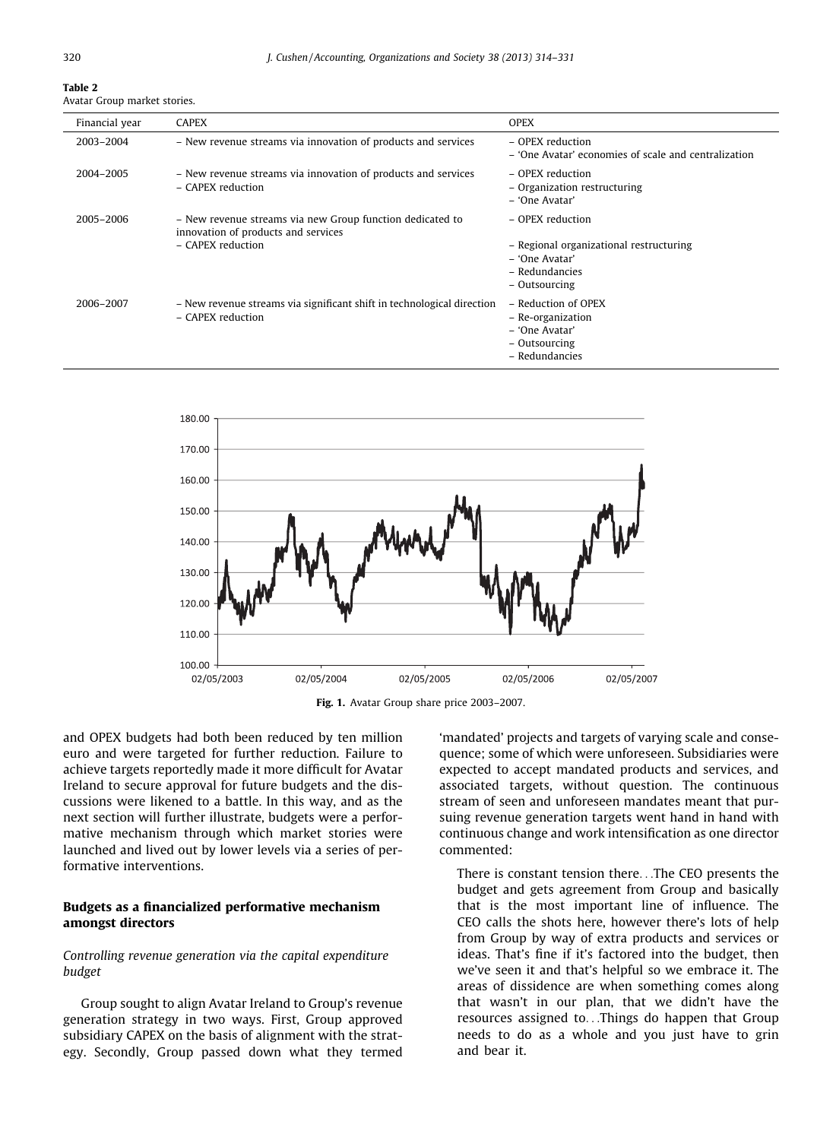#### <span id="page-6-0"></span>Table 2 Avatar Group market stories.

| Financial year | <b>CAPEX</b>                                                                                                          | <b>OPEX</b>                                                                                                      |
|----------------|-----------------------------------------------------------------------------------------------------------------------|------------------------------------------------------------------------------------------------------------------|
| 2003-2004      | - New revenue streams via innovation of products and services                                                         | - OPEX reduction<br>- 'One Avatar' economies of scale and centralization                                         |
| 2004-2005      | - New revenue streams via innovation of products and services<br>- CAPEX reduction                                    | - OPEX reduction<br>- Organization restructuring<br>- 'One Avatar'                                               |
| 2005-2006      | - New revenue streams via new Group function dedicated to<br>innovation of products and services<br>- CAPEX reduction | - OPEX reduction<br>- Regional organizational restructuring<br>- 'One Avatar'<br>- Redundancies<br>- Outsourcing |
| 2006-2007      | - New revenue streams via significant shift in technological direction<br>- CAPEX reduction                           | - Reduction of OPEX<br>- Re-organization<br>- 'One Avatar'<br>- Outsourcing<br>- Redundancies                    |



Fig. 1. Avatar Group share price 2003–2007.

and OPEX budgets had both been reduced by ten million euro and were targeted for further reduction. Failure to achieve targets reportedly made it more difficult for Avatar Ireland to secure approval for future budgets and the discussions were likened to a battle. In this way, and as the next section will further illustrate, budgets were a performative mechanism through which market stories were launched and lived out by lower levels via a series of performative interventions.

# Budgets as a financialized performative mechanism amongst directors

# Controlling revenue generation via the capital expenditure budget

Group sought to align Avatar Ireland to Group's revenue generation strategy in two ways. First, Group approved subsidiary CAPEX on the basis of alignment with the strategy. Secondly, Group passed down what they termed

'mandated' projects and targets of varying scale and consequence; some of which were unforeseen. Subsidiaries were expected to accept mandated products and services, and associated targets, without question. The continuous stream of seen and unforeseen mandates meant that pursuing revenue generation targets went hand in hand with continuous change and work intensification as one director commented:

There is constant tension there...The CEO presents the budget and gets agreement from Group and basically that is the most important line of influence. The CEO calls the shots here, however there's lots of help from Group by way of extra products and services or ideas. That's fine if it's factored into the budget, then we've seen it and that's helpful so we embrace it. The areas of dissidence are when something comes along that wasn't in our plan, that we didn't have the resources assigned to...Things do happen that Group needs to do as a whole and you just have to grin and bear it.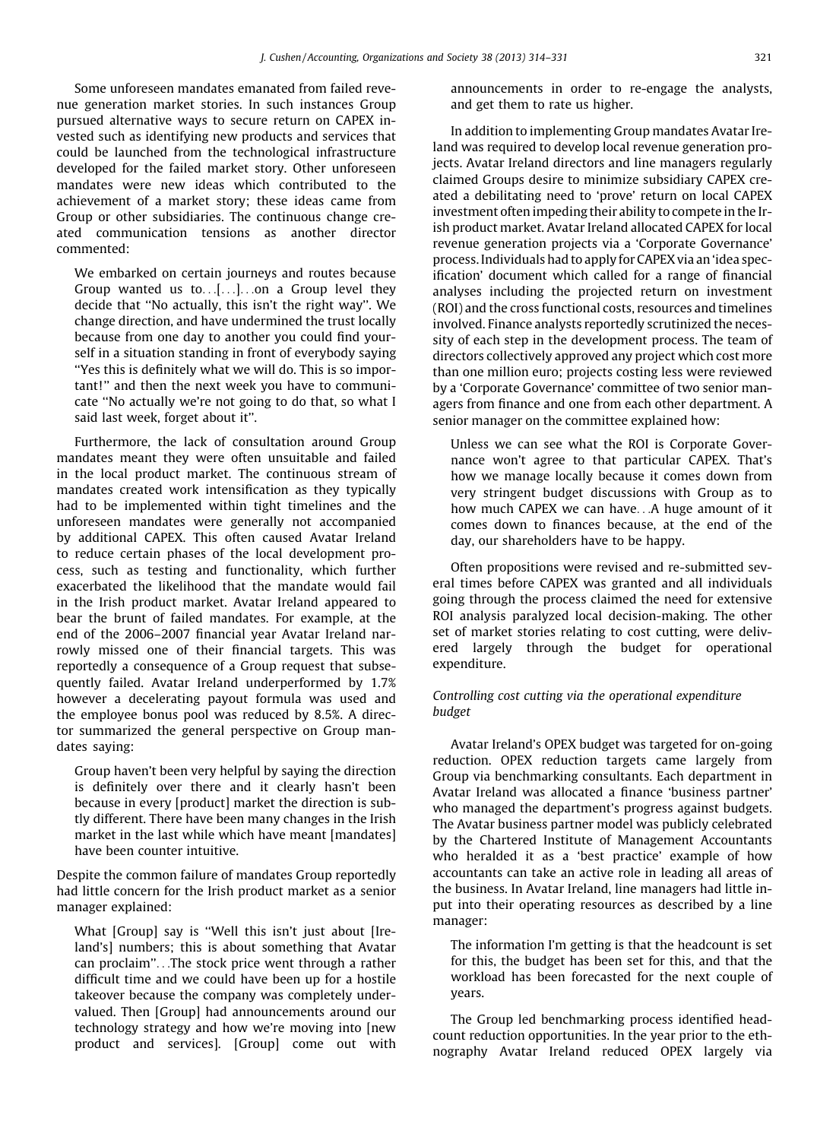Some unforeseen mandates emanated from failed revenue generation market stories. In such instances Group pursued alternative ways to secure return on CAPEX invested such as identifying new products and services that could be launched from the technological infrastructure developed for the failed market story. Other unforeseen mandates were new ideas which contributed to the achievement of a market story; these ideas came from Group or other subsidiaries. The continuous change created communication tensions as another director commented:

We embarked on certain journeys and routes because Group wanted us to...[...]...on a Group level they decide that ''No actually, this isn't the right way''. We change direction, and have undermined the trust locally because from one day to another you could find yourself in a situation standing in front of everybody saying ''Yes this is definitely what we will do. This is so important!'' and then the next week you have to communicate ''No actually we're not going to do that, so what I said last week, forget about it''.

Furthermore, the lack of consultation around Group mandates meant they were often unsuitable and failed in the local product market. The continuous stream of mandates created work intensification as they typically had to be implemented within tight timelines and the unforeseen mandates were generally not accompanied by additional CAPEX. This often caused Avatar Ireland to reduce certain phases of the local development process, such as testing and functionality, which further exacerbated the likelihood that the mandate would fail in the Irish product market. Avatar Ireland appeared to bear the brunt of failed mandates. For example, at the end of the 2006–2007 financial year Avatar Ireland narrowly missed one of their financial targets. This was reportedly a consequence of a Group request that subsequently failed. Avatar Ireland underperformed by 1.7% however a decelerating payout formula was used and the employee bonus pool was reduced by 8.5%. A director summarized the general perspective on Group mandates saying:

Group haven't been very helpful by saying the direction is definitely over there and it clearly hasn't been because in every [product] market the direction is subtly different. There have been many changes in the Irish market in the last while which have meant [mandates] have been counter intuitive.

Despite the common failure of mandates Group reportedly had little concern for the Irish product market as a senior manager explained:

What [Group] say is ''Well this isn't just about [Ireland's] numbers; this is about something that Avatar can proclaim''...The stock price went through a rather difficult time and we could have been up for a hostile takeover because the company was completely undervalued. Then [Group] had announcements around our technology strategy and how we're moving into [new product and services]. [Group] come out with

announcements in order to re-engage the analysts, and get them to rate us higher.

In addition to implementing Group mandates Avatar Ireland was required to develop local revenue generation projects. Avatar Ireland directors and line managers regularly claimed Groups desire to minimize subsidiary CAPEX created a debilitating need to 'prove' return on local CAPEX investment often impeding their ability to compete in the Irish product market. Avatar Ireland allocated CAPEX for local revenue generation projects via a 'Corporate Governance' process. Individuals had to apply for CAPEX via an 'idea specification' document which called for a range of financial analyses including the projected return on investment (ROI) and the cross functional costs, resources and timelines involved. Finance analysts reportedly scrutinized the necessity of each step in the development process. The team of directors collectively approved any project which cost more than one million euro; projects costing less were reviewed by a 'Corporate Governance' committee of two senior managers from finance and one from each other department. A senior manager on the committee explained how:

Unless we can see what the ROI is Corporate Governance won't agree to that particular CAPEX. That's how we manage locally because it comes down from very stringent budget discussions with Group as to how much CAPEX we can have...A huge amount of it comes down to finances because, at the end of the day, our shareholders have to be happy.

Often propositions were revised and re-submitted several times before CAPEX was granted and all individuals going through the process claimed the need for extensive ROI analysis paralyzed local decision-making. The other set of market stories relating to cost cutting, were delivered largely through the budget for operational expenditure.

# Controlling cost cutting via the operational expenditure budget

Avatar Ireland's OPEX budget was targeted for on-going reduction. OPEX reduction targets came largely from Group via benchmarking consultants. Each department in Avatar Ireland was allocated a finance 'business partner' who managed the department's progress against budgets. The Avatar business partner model was publicly celebrated by the Chartered Institute of Management Accountants who heralded it as a 'best practice' example of how accountants can take an active role in leading all areas of the business. In Avatar Ireland, line managers had little input into their operating resources as described by a line manager:

The information I'm getting is that the headcount is set for this, the budget has been set for this, and that the workload has been forecasted for the next couple of years.

The Group led benchmarking process identified headcount reduction opportunities. In the year prior to the ethnography Avatar Ireland reduced OPEX largely via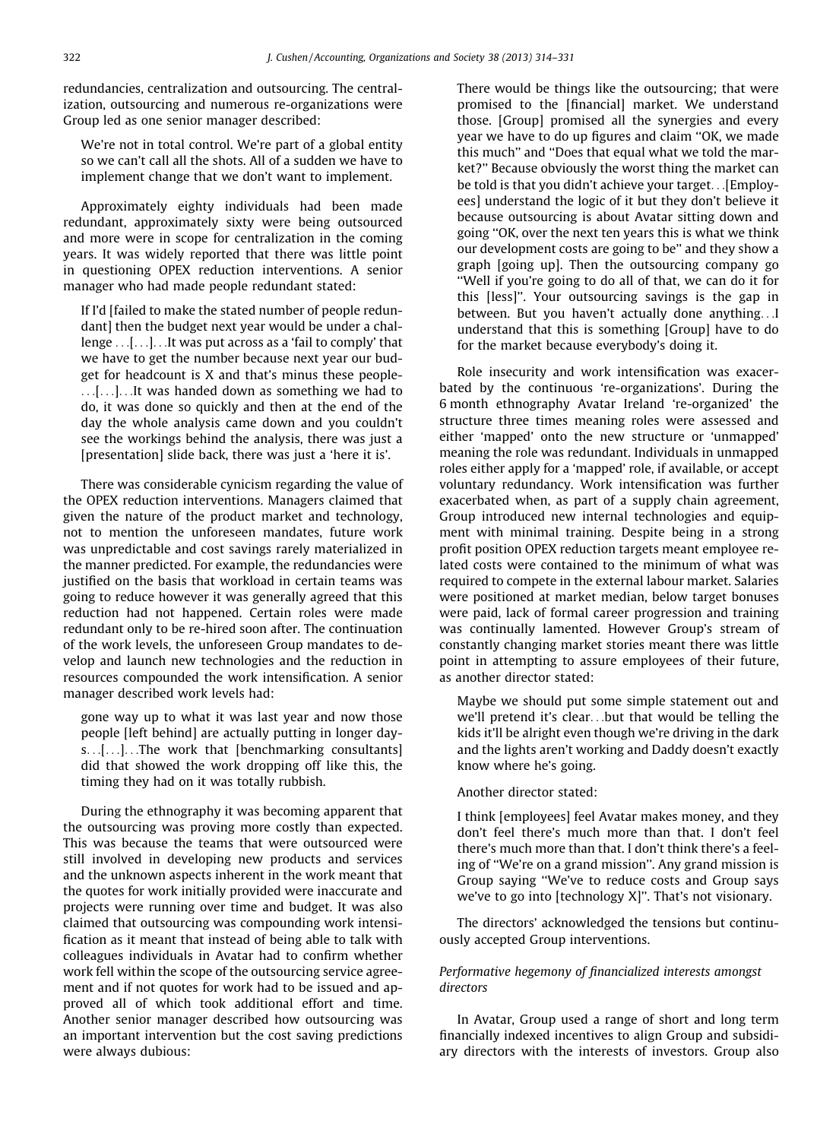redundancies, centralization and outsourcing. The centralization, outsourcing and numerous re-organizations were Group led as one senior manager described:

We're not in total control. We're part of a global entity so we can't call all the shots. All of a sudden we have to implement change that we don't want to implement.

Approximately eighty individuals had been made redundant, approximately sixty were being outsourced and more were in scope for centralization in the coming years. It was widely reported that there was little point in questioning OPEX reduction interventions. A senior manager who had made people redundant stated:

If I'd [failed to make the stated number of people redundant] then the budget next year would be under a challenge ...[...]...It was put across as a 'fail to comply' that we have to get the number because next year our budget for headcount is X and that's minus these people- ...[...]...It was handed down as something we had to do, it was done so quickly and then at the end of the day the whole analysis came down and you couldn't see the workings behind the analysis, there was just a [presentation] slide back, there was just a 'here it is'.

There was considerable cynicism regarding the value of the OPEX reduction interventions. Managers claimed that given the nature of the product market and technology, not to mention the unforeseen mandates, future work was unpredictable and cost savings rarely materialized in the manner predicted. For example, the redundancies were justified on the basis that workload in certain teams was going to reduce however it was generally agreed that this reduction had not happened. Certain roles were made redundant only to be re-hired soon after. The continuation of the work levels, the unforeseen Group mandates to develop and launch new technologies and the reduction in resources compounded the work intensification. A senior manager described work levels had:

gone way up to what it was last year and now those people [left behind] are actually putting in longer days...[...]...The work that [benchmarking consultants] did that showed the work dropping off like this, the timing they had on it was totally rubbish.

During the ethnography it was becoming apparent that the outsourcing was proving more costly than expected. This was because the teams that were outsourced were still involved in developing new products and services and the unknown aspects inherent in the work meant that the quotes for work initially provided were inaccurate and projects were running over time and budget. It was also claimed that outsourcing was compounding work intensification as it meant that instead of being able to talk with colleagues individuals in Avatar had to confirm whether work fell within the scope of the outsourcing service agreement and if not quotes for work had to be issued and approved all of which took additional effort and time. Another senior manager described how outsourcing was an important intervention but the cost saving predictions were always dubious:

There would be things like the outsourcing; that were promised to the [financial] market. We understand those. [Group] promised all the synergies and every year we have to do up figures and claim ''OK, we made this much'' and ''Does that equal what we told the market?'' Because obviously the worst thing the market can be told is that you didn't achieve your target...[Employees] understand the logic of it but they don't believe it because outsourcing is about Avatar sitting down and going ''OK, over the next ten years this is what we think our development costs are going to be'' and they show a graph [going up]. Then the outsourcing company go ''Well if you're going to do all of that, we can do it for this [less]''. Your outsourcing savings is the gap in between. But you haven't actually done anything...I understand that this is something [Group] have to do for the market because everybody's doing it.

Role insecurity and work intensification was exacerbated by the continuous 're-organizations'. During the 6 month ethnography Avatar Ireland 're-organized' the structure three times meaning roles were assessed and either 'mapped' onto the new structure or 'unmapped' meaning the role was redundant. Individuals in unmapped roles either apply for a 'mapped' role, if available, or accept voluntary redundancy. Work intensification was further exacerbated when, as part of a supply chain agreement, Group introduced new internal technologies and equipment with minimal training. Despite being in a strong profit position OPEX reduction targets meant employee related costs were contained to the minimum of what was required to compete in the external labour market. Salaries were positioned at market median, below target bonuses were paid, lack of formal career progression and training was continually lamented. However Group's stream of constantly changing market stories meant there was little point in attempting to assure employees of their future, as another director stated:

Maybe we should put some simple statement out and we'll pretend it's clear...but that would be telling the kids it'll be alright even though we're driving in the dark and the lights aren't working and Daddy doesn't exactly know where he's going.

# Another director stated:

I think [employees] feel Avatar makes money, and they don't feel there's much more than that. I don't feel there's much more than that. I don't think there's a feeling of ''We're on a grand mission''. Any grand mission is Group saying ''We've to reduce costs and Group says we've to go into [technology X]''. That's not visionary.

The directors' acknowledged the tensions but continuously accepted Group interventions.

# Performative hegemony of financialized interests amongst directors

In Avatar, Group used a range of short and long term financially indexed incentives to align Group and subsidiary directors with the interests of investors. Group also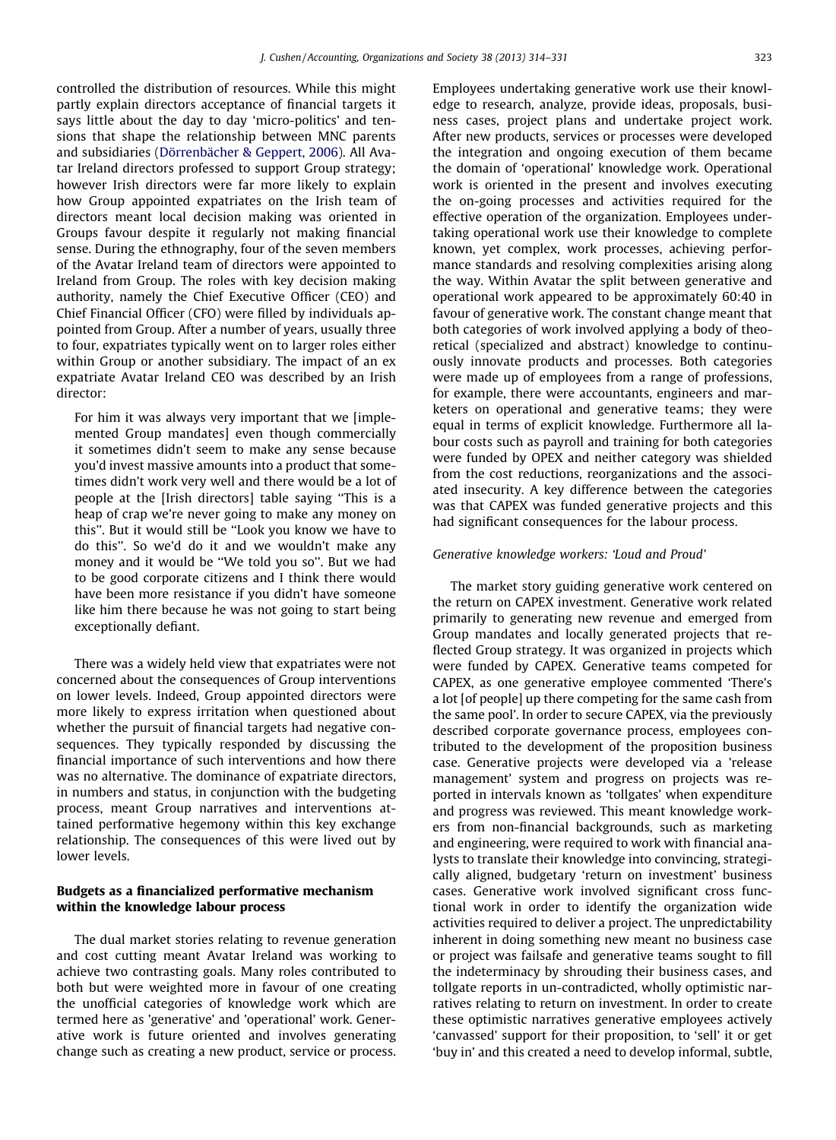controlled the distribution of resources. While this might partly explain directors acceptance of financial targets it says little about the day to day 'micro-politics' and tensions that shape the relationship between MNC parents and subsidiaries ([Dörrenbächer & Geppert, 2006](#page-16-0)). All Avatar Ireland directors professed to support Group strategy; however Irish directors were far more likely to explain how Group appointed expatriates on the Irish team of directors meant local decision making was oriented in Groups favour despite it regularly not making financial sense. During the ethnography, four of the seven members of the Avatar Ireland team of directors were appointed to Ireland from Group. The roles with key decision making authority, namely the Chief Executive Officer (CEO) and Chief Financial Officer (CFO) were filled by individuals appointed from Group. After a number of years, usually three to four, expatriates typically went on to larger roles either within Group or another subsidiary. The impact of an ex expatriate Avatar Ireland CEO was described by an Irish director:

For him it was always very important that we [implemented Group mandates] even though commercially it sometimes didn't seem to make any sense because you'd invest massive amounts into a product that sometimes didn't work very well and there would be a lot of people at the [Irish directors] table saying ''This is a heap of crap we're never going to make any money on this''. But it would still be ''Look you know we have to do this''. So we'd do it and we wouldn't make any money and it would be ''We told you so''. But we had to be good corporate citizens and I think there would have been more resistance if you didn't have someone like him there because he was not going to start being exceptionally defiant.

There was a widely held view that expatriates were not concerned about the consequences of Group interventions on lower levels. Indeed, Group appointed directors were more likely to express irritation when questioned about whether the pursuit of financial targets had negative consequences. They typically responded by discussing the financial importance of such interventions and how there was no alternative. The dominance of expatriate directors, in numbers and status, in conjunction with the budgeting process, meant Group narratives and interventions attained performative hegemony within this key exchange relationship. The consequences of this were lived out by lower levels.

# Budgets as a financialized performative mechanism within the knowledge labour process

The dual market stories relating to revenue generation and cost cutting meant Avatar Ireland was working to achieve two contrasting goals. Many roles contributed to both but were weighted more in favour of one creating the unofficial categories of knowledge work which are termed here as 'generative' and 'operational' work. Generative work is future oriented and involves generating change such as creating a new product, service or process.

Employees undertaking generative work use their knowledge to research, analyze, provide ideas, proposals, business cases, project plans and undertake project work. After new products, services or processes were developed the integration and ongoing execution of them became the domain of 'operational' knowledge work. Operational work is oriented in the present and involves executing the on-going processes and activities required for the effective operation of the organization. Employees undertaking operational work use their knowledge to complete known, yet complex, work processes, achieving performance standards and resolving complexities arising along the way. Within Avatar the split between generative and operational work appeared to be approximately 60:40 in favour of generative work. The constant change meant that both categories of work involved applying a body of theoretical (specialized and abstract) knowledge to continuously innovate products and processes. Both categories were made up of employees from a range of professions, for example, there were accountants, engineers and marketers on operational and generative teams; they were equal in terms of explicit knowledge. Furthermore all labour costs such as payroll and training for both categories were funded by OPEX and neither category was shielded from the cost reductions, reorganizations and the associated insecurity. A key difference between the categories was that CAPEX was funded generative projects and this had significant consequences for the labour process.

#### Generative knowledge workers: 'Loud and Proud'

The market story guiding generative work centered on the return on CAPEX investment. Generative work related primarily to generating new revenue and emerged from Group mandates and locally generated projects that reflected Group strategy. It was organized in projects which were funded by CAPEX. Generative teams competed for CAPEX, as one generative employee commented 'There's a lot [of people] up there competing for the same cash from the same pool'. In order to secure CAPEX, via the previously described corporate governance process, employees contributed to the development of the proposition business case. Generative projects were developed via a 'release management' system and progress on projects was reported in intervals known as 'tollgates' when expenditure and progress was reviewed. This meant knowledge workers from non-financial backgrounds, such as marketing and engineering, were required to work with financial analysts to translate their knowledge into convincing, strategically aligned, budgetary 'return on investment' business cases. Generative work involved significant cross functional work in order to identify the organization wide activities required to deliver a project. The unpredictability inherent in doing something new meant no business case or project was failsafe and generative teams sought to fill the indeterminacy by shrouding their business cases, and tollgate reports in un-contradicted, wholly optimistic narratives relating to return on investment. In order to create these optimistic narratives generative employees actively 'canvassed' support for their proposition, to 'sell' it or get 'buy in' and this created a need to develop informal, subtle,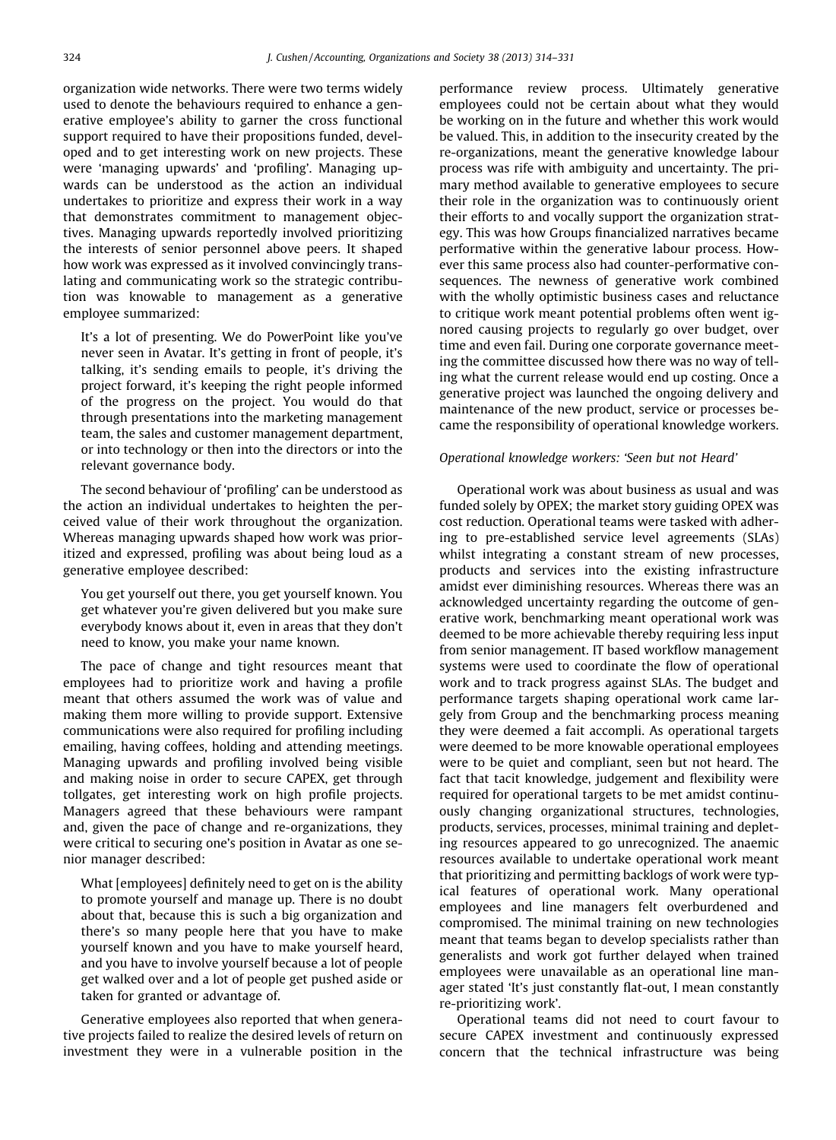organization wide networks. There were two terms widely used to denote the behaviours required to enhance a generative employee's ability to garner the cross functional support required to have their propositions funded, developed and to get interesting work on new projects. These were 'managing upwards' and 'profiling'. Managing upwards can be understood as the action an individual undertakes to prioritize and express their work in a way that demonstrates commitment to management objectives. Managing upwards reportedly involved prioritizing the interests of senior personnel above peers. It shaped how work was expressed as it involved convincingly translating and communicating work so the strategic contribution was knowable to management as a generative employee summarized:

It's a lot of presenting. We do PowerPoint like you've never seen in Avatar. It's getting in front of people, it's talking, it's sending emails to people, it's driving the project forward, it's keeping the right people informed of the progress on the project. You would do that through presentations into the marketing management team, the sales and customer management department, or into technology or then into the directors or into the relevant governance body.

The second behaviour of 'profiling' can be understood as the action an individual undertakes to heighten the perceived value of their work throughout the organization. Whereas managing upwards shaped how work was prioritized and expressed, profiling was about being loud as a generative employee described:

You get yourself out there, you get yourself known. You get whatever you're given delivered but you make sure everybody knows about it, even in areas that they don't need to know, you make your name known.

The pace of change and tight resources meant that employees had to prioritize work and having a profile meant that others assumed the work was of value and making them more willing to provide support. Extensive communications were also required for profiling including emailing, having coffees, holding and attending meetings. Managing upwards and profiling involved being visible and making noise in order to secure CAPEX, get through tollgates, get interesting work on high profile projects. Managers agreed that these behaviours were rampant and, given the pace of change and re-organizations, they were critical to securing one's position in Avatar as one senior manager described:

What [employees] definitely need to get on is the ability to promote yourself and manage up. There is no doubt about that, because this is such a big organization and there's so many people here that you have to make yourself known and you have to make yourself heard, and you have to involve yourself because a lot of people get walked over and a lot of people get pushed aside or taken for granted or advantage of.

Generative employees also reported that when generative projects failed to realize the desired levels of return on investment they were in a vulnerable position in the performance review process. Ultimately generative employees could not be certain about what they would be working on in the future and whether this work would be valued. This, in addition to the insecurity created by the re-organizations, meant the generative knowledge labour process was rife with ambiguity and uncertainty. The primary method available to generative employees to secure their role in the organization was to continuously orient their efforts to and vocally support the organization strategy. This was how Groups financialized narratives became performative within the generative labour process. However this same process also had counter-performative consequences. The newness of generative work combined with the wholly optimistic business cases and reluctance to critique work meant potential problems often went ignored causing projects to regularly go over budget, over time and even fail. During one corporate governance meeting the committee discussed how there was no way of telling what the current release would end up costing. Once a generative project was launched the ongoing delivery and maintenance of the new product, service or processes became the responsibility of operational knowledge workers.

#### Operational knowledge workers: 'Seen but not Heard'

Operational work was about business as usual and was funded solely by OPEX; the market story guiding OPEX was cost reduction. Operational teams were tasked with adhering to pre-established service level agreements (SLAs) whilst integrating a constant stream of new processes, products and services into the existing infrastructure amidst ever diminishing resources. Whereas there was an acknowledged uncertainty regarding the outcome of generative work, benchmarking meant operational work was deemed to be more achievable thereby requiring less input from senior management. IT based workflow management systems were used to coordinate the flow of operational work and to track progress against SLAs. The budget and performance targets shaping operational work came largely from Group and the benchmarking process meaning they were deemed a fait accompli. As operational targets were deemed to be more knowable operational employees were to be quiet and compliant, seen but not heard. The fact that tacit knowledge, judgement and flexibility were required for operational targets to be met amidst continuously changing organizational structures, technologies, products, services, processes, minimal training and depleting resources appeared to go unrecognized. The anaemic resources available to undertake operational work meant that prioritizing and permitting backlogs of work were typical features of operational work. Many operational employees and line managers felt overburdened and compromised. The minimal training on new technologies meant that teams began to develop specialists rather than generalists and work got further delayed when trained employees were unavailable as an operational line manager stated 'It's just constantly flat-out, I mean constantly re-prioritizing work'.

Operational teams did not need to court favour to secure CAPEX investment and continuously expressed concern that the technical infrastructure was being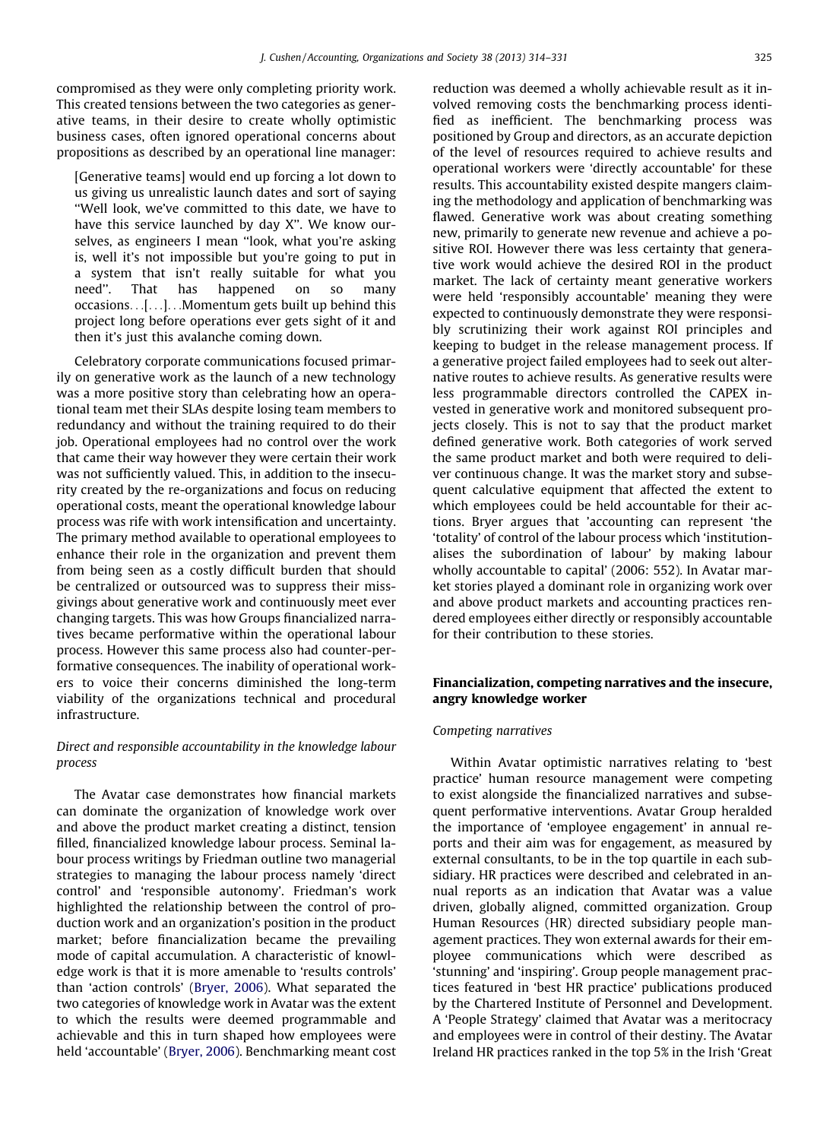compromised as they were only completing priority work. This created tensions between the two categories as generative teams, in their desire to create wholly optimistic business cases, often ignored operational concerns about propositions as described by an operational line manager:

[Generative teams] would end up forcing a lot down to us giving us unrealistic launch dates and sort of saying ''Well look, we've committed to this date, we have to have this service launched by day X''. We know ourselves, as engineers I mean ''look, what you're asking is, well it's not impossible but you're going to put in a system that isn't really suitable for what you need''. That has happened on so many occasions...[...]...Momentum gets built up behind this project long before operations ever gets sight of it and then it's just this avalanche coming down.

Celebratory corporate communications focused primarily on generative work as the launch of a new technology was a more positive story than celebrating how an operational team met their SLAs despite losing team members to redundancy and without the training required to do their job. Operational employees had no control over the work that came their way however they were certain their work was not sufficiently valued. This, in addition to the insecurity created by the re-organizations and focus on reducing operational costs, meant the operational knowledge labour process was rife with work intensification and uncertainty. The primary method available to operational employees to enhance their role in the organization and prevent them from being seen as a costly difficult burden that should be centralized or outsourced was to suppress their missgivings about generative work and continuously meet ever changing targets. This was how Groups financialized narratives became performative within the operational labour process. However this same process also had counter-performative consequences. The inability of operational workers to voice their concerns diminished the long-term viability of the organizations technical and procedural infrastructure.

# Direct and responsible accountability in the knowledge labour process

The Avatar case demonstrates how financial markets can dominate the organization of knowledge work over and above the product market creating a distinct, tension filled, financialized knowledge labour process. Seminal labour process writings by Friedman outline two managerial strategies to managing the labour process namely 'direct control' and 'responsible autonomy'. Friedman's work highlighted the relationship between the control of production work and an organization's position in the product market; before financialization became the prevailing mode of capital accumulation. A characteristic of knowledge work is that it is more amenable to 'results controls' than 'action controls' [\(Bryer, 2006\)](#page-15-0). What separated the two categories of knowledge work in Avatar was the extent to which the results were deemed programmable and achievable and this in turn shaped how employees were held 'accountable' ([Bryer, 2006](#page-15-0)). Benchmarking meant cost

reduction was deemed a wholly achievable result as it involved removing costs the benchmarking process identified as inefficient. The benchmarking process was positioned by Group and directors, as an accurate depiction of the level of resources required to achieve results and operational workers were 'directly accountable' for these results. This accountability existed despite mangers claiming the methodology and application of benchmarking was flawed. Generative work was about creating something new, primarily to generate new revenue and achieve a positive ROI. However there was less certainty that generative work would achieve the desired ROI in the product market. The lack of certainty meant generative workers were held 'responsibly accountable' meaning they were expected to continuously demonstrate they were responsibly scrutinizing their work against ROI principles and keeping to budget in the release management process. If a generative project failed employees had to seek out alternative routes to achieve results. As generative results were less programmable directors controlled the CAPEX invested in generative work and monitored subsequent projects closely. This is not to say that the product market defined generative work. Both categories of work served the same product market and both were required to deliver continuous change. It was the market story and subsequent calculative equipment that affected the extent to which employees could be held accountable for their actions. Bryer argues that 'accounting can represent 'the 'totality' of control of the labour process which 'institutionalises the subordination of labour' by making labour wholly accountable to capital' (2006: 552). In Avatar market stories played a dominant role in organizing work over and above product markets and accounting practices rendered employees either directly or responsibly accountable for their contribution to these stories.

# Financialization, competing narratives and the insecure, angry knowledge worker

#### Competing narratives

Within Avatar optimistic narratives relating to 'best practice' human resource management were competing to exist alongside the financialized narratives and subsequent performative interventions. Avatar Group heralded the importance of 'employee engagement' in annual reports and their aim was for engagement, as measured by external consultants, to be in the top quartile in each subsidiary. HR practices were described and celebrated in annual reports as an indication that Avatar was a value driven, globally aligned, committed organization. Group Human Resources (HR) directed subsidiary people management practices. They won external awards for their employee communications which were described as 'stunning' and 'inspiring'. Group people management practices featured in 'best HR practice' publications produced by the Chartered Institute of Personnel and Development. A 'People Strategy' claimed that Avatar was a meritocracy and employees were in control of their destiny. The Avatar Ireland HR practices ranked in the top 5% in the Irish 'Great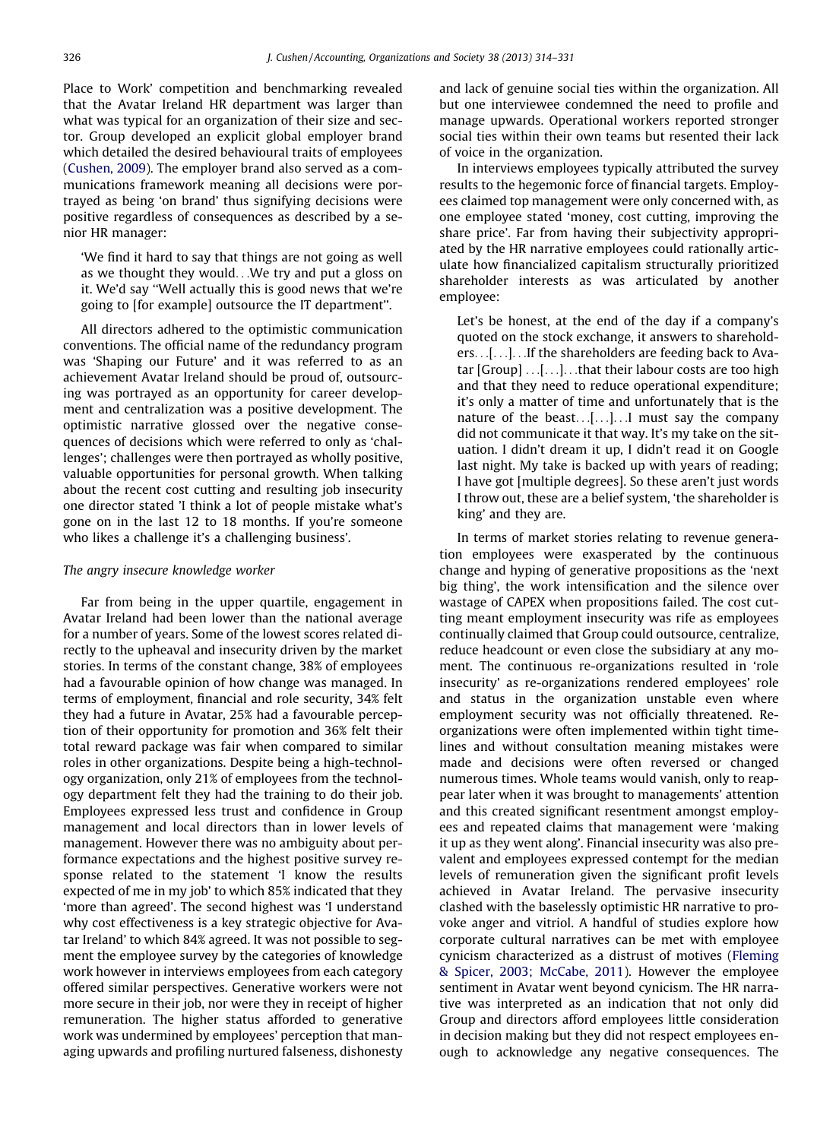Place to Work' competition and benchmarking revealed that the Avatar Ireland HR department was larger than what was typical for an organization of their size and sector. Group developed an explicit global employer brand which detailed the desired behavioural traits of employees [\(Cushen, 2009](#page-15-0)). The employer brand also served as a communications framework meaning all decisions were portrayed as being 'on brand' thus signifying decisions were positive regardless of consequences as described by a senior HR manager:

'We find it hard to say that things are not going as well as we thought they would...We try and put a gloss on it. We'd say ''Well actually this is good news that we're going to [for example] outsource the IT department''.

All directors adhered to the optimistic communication conventions. The official name of the redundancy program was 'Shaping our Future' and it was referred to as an achievement Avatar Ireland should be proud of, outsourcing was portrayed as an opportunity for career development and centralization was a positive development. The optimistic narrative glossed over the negative consequences of decisions which were referred to only as 'challenges'; challenges were then portrayed as wholly positive, valuable opportunities for personal growth. When talking about the recent cost cutting and resulting job insecurity one director stated 'I think a lot of people mistake what's gone on in the last 12 to 18 months. If you're someone who likes a challenge it's a challenging business'.

### The angry insecure knowledge worker

Far from being in the upper quartile, engagement in Avatar Ireland had been lower than the national average for a number of years. Some of the lowest scores related directly to the upheaval and insecurity driven by the market stories. In terms of the constant change, 38% of employees had a favourable opinion of how change was managed. In terms of employment, financial and role security, 34% felt they had a future in Avatar, 25% had a favourable perception of their opportunity for promotion and 36% felt their total reward package was fair when compared to similar roles in other organizations. Despite being a high-technology organization, only 21% of employees from the technology department felt they had the training to do their job. Employees expressed less trust and confidence in Group management and local directors than in lower levels of management. However there was no ambiguity about performance expectations and the highest positive survey response related to the statement 'I know the results expected of me in my job' to which 85% indicated that they 'more than agreed'. The second highest was 'I understand why cost effectiveness is a key strategic objective for Avatar Ireland' to which 84% agreed. It was not possible to segment the employee survey by the categories of knowledge work however in interviews employees from each category offered similar perspectives. Generative workers were not more secure in their job, nor were they in receipt of higher remuneration. The higher status afforded to generative work was undermined by employees' perception that managing upwards and profiling nurtured falseness, dishonesty and lack of genuine social ties within the organization. All but one interviewee condemned the need to profile and manage upwards. Operational workers reported stronger social ties within their own teams but resented their lack of voice in the organization.

In interviews employees typically attributed the survey results to the hegemonic force of financial targets. Employees claimed top management were only concerned with, as one employee stated 'money, cost cutting, improving the share price'. Far from having their subjectivity appropriated by the HR narrative employees could rationally articulate how financialized capitalism structurally prioritized shareholder interests as was articulated by another employee:

Let's be honest, at the end of the day if a company's quoted on the stock exchange, it answers to shareholders...[...]...If the shareholders are feeding back to Avatar [Group] ...[...]...that their labour costs are too high and that they need to reduce operational expenditure; it's only a matter of time and unfortunately that is the nature of the beast... $[...]$ ....I must say the company did not communicate it that way. It's my take on the situation. I didn't dream it up, I didn't read it on Google last night. My take is backed up with years of reading; I have got [multiple degrees]. So these aren't just words I throw out, these are a belief system, 'the shareholder is king' and they are.

In terms of market stories relating to revenue generation employees were exasperated by the continuous change and hyping of generative propositions as the 'next big thing', the work intensification and the silence over wastage of CAPEX when propositions failed. The cost cutting meant employment insecurity was rife as employees continually claimed that Group could outsource, centralize, reduce headcount or even close the subsidiary at any moment. The continuous re-organizations resulted in 'role insecurity' as re-organizations rendered employees' role and status in the organization unstable even where employment security was not officially threatened. Reorganizations were often implemented within tight timelines and without consultation meaning mistakes were made and decisions were often reversed or changed numerous times. Whole teams would vanish, only to reappear later when it was brought to managements' attention and this created significant resentment amongst employees and repeated claims that management were 'making it up as they went along'. Financial insecurity was also prevalent and employees expressed contempt for the median levels of remuneration given the significant profit levels achieved in Avatar Ireland. The pervasive insecurity clashed with the baselessly optimistic HR narrative to provoke anger and vitriol. A handful of studies explore how corporate cultural narratives can be met with employee cynicism characterized as a distrust of motives [\(Fleming](#page-16-0) [& Spicer, 2003; McCabe, 2011\)](#page-16-0). However the employee sentiment in Avatar went beyond cynicism. The HR narrative was interpreted as an indication that not only did Group and directors afford employees little consideration in decision making but they did not respect employees enough to acknowledge any negative consequences. The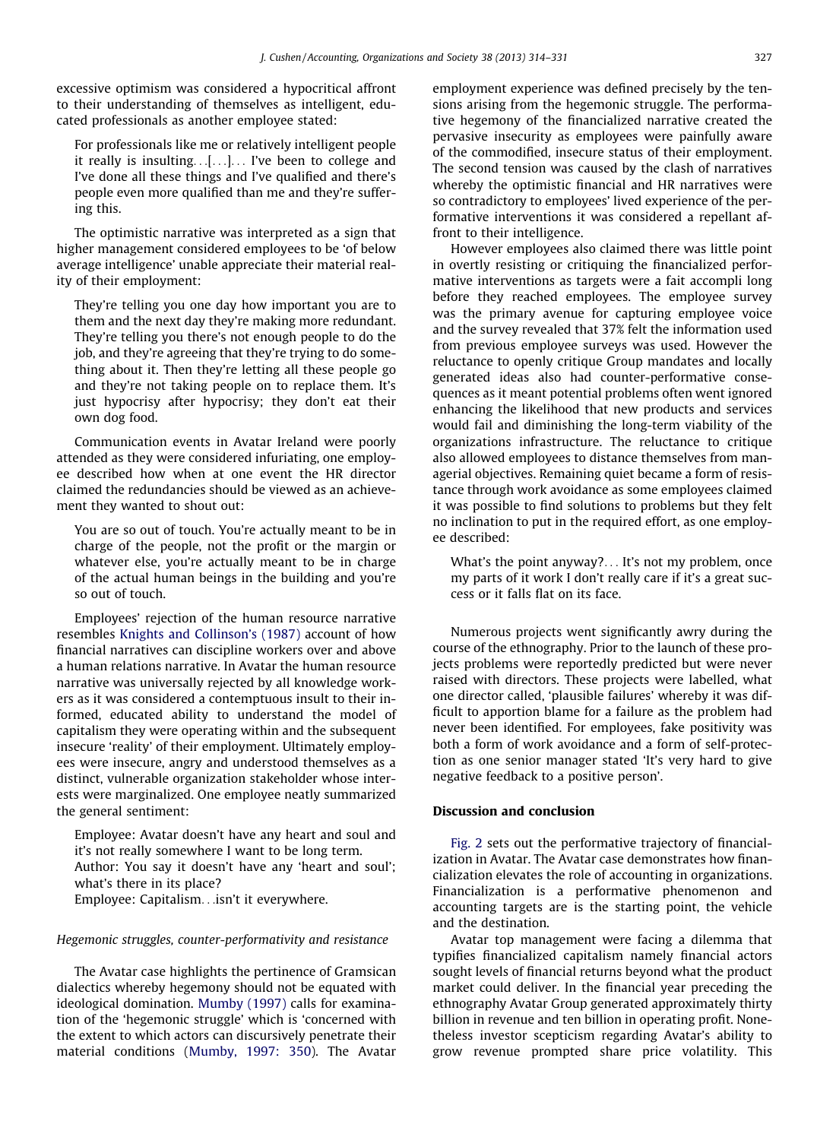excessive optimism was considered a hypocritical affront to their understanding of themselves as intelligent, educated professionals as another employee stated:

For professionals like me or relatively intelligent people it really is insulting...[...]... I've been to college and I've done all these things and I've qualified and there's people even more qualified than me and they're suffering this.

The optimistic narrative was interpreted as a sign that higher management considered employees to be 'of below average intelligence' unable appreciate their material reality of their employment:

They're telling you one day how important you are to them and the next day they're making more redundant. They're telling you there's not enough people to do the job, and they're agreeing that they're trying to do something about it. Then they're letting all these people go and they're not taking people on to replace them. It's just hypocrisy after hypocrisy; they don't eat their own dog food.

Communication events in Avatar Ireland were poorly attended as they were considered infuriating, one employee described how when at one event the HR director claimed the redundancies should be viewed as an achievement they wanted to shout out:

You are so out of touch. You're actually meant to be in charge of the people, not the profit or the margin or whatever else, you're actually meant to be in charge of the actual human beings in the building and you're so out of touch.

Employees' rejection of the human resource narrative resembles [Knights and Collinson's \(1987\)](#page-16-0) account of how financial narratives can discipline workers over and above a human relations narrative. In Avatar the human resource narrative was universally rejected by all knowledge workers as it was considered a contemptuous insult to their informed, educated ability to understand the model of capitalism they were operating within and the subsequent insecure 'reality' of their employment. Ultimately employees were insecure, angry and understood themselves as a distinct, vulnerable organization stakeholder whose interests were marginalized. One employee neatly summarized the general sentiment:

Employee: Avatar doesn't have any heart and soul and it's not really somewhere I want to be long term. Author: You say it doesn't have any 'heart and soul'; what's there in its place? Employee: Capitalism...isn't it everywhere.

Hegemonic struggles, counter-performativity and resistance

The Avatar case highlights the pertinence of Gramsican dialectics whereby hegemony should not be equated with ideological domination. [Mumby \(1997\)](#page-16-0) calls for examination of the 'hegemonic struggle' which is 'concerned with the extent to which actors can discursively penetrate their material conditions [\(Mumby, 1997: 350\)](#page-16-0). The Avatar employment experience was defined precisely by the tensions arising from the hegemonic struggle. The performative hegemony of the financialized narrative created the pervasive insecurity as employees were painfully aware of the commodified, insecure status of their employment. The second tension was caused by the clash of narratives whereby the optimistic financial and HR narratives were so contradictory to employees' lived experience of the performative interventions it was considered a repellant affront to their intelligence.

However employees also claimed there was little point in overtly resisting or critiquing the financialized performative interventions as targets were a fait accompli long before they reached employees. The employee survey was the primary avenue for capturing employee voice and the survey revealed that 37% felt the information used from previous employee surveys was used. However the reluctance to openly critique Group mandates and locally generated ideas also had counter-performative consequences as it meant potential problems often went ignored enhancing the likelihood that new products and services would fail and diminishing the long-term viability of the organizations infrastructure. The reluctance to critique also allowed employees to distance themselves from managerial objectives. Remaining quiet became a form of resistance through work avoidance as some employees claimed it was possible to find solutions to problems but they felt no inclination to put in the required effort, as one employee described:

What's the point anyway?... It's not my problem, once my parts of it work I don't really care if it's a great success or it falls flat on its face.

Numerous projects went significantly awry during the course of the ethnography. Prior to the launch of these projects problems were reportedly predicted but were never raised with directors. These projects were labelled, what one director called, 'plausible failures' whereby it was difficult to apportion blame for a failure as the problem had never been identified. For employees, fake positivity was both a form of work avoidance and a form of self-protection as one senior manager stated 'It's very hard to give negative feedback to a positive person'.

### Discussion and conclusion

[Fig. 2](#page-14-0) sets out the performative trajectory of financialization in Avatar. The Avatar case demonstrates how financialization elevates the role of accounting in organizations. Financialization is a performative phenomenon and accounting targets are is the starting point, the vehicle and the destination.

Avatar top management were facing a dilemma that typifies financialized capitalism namely financial actors sought levels of financial returns beyond what the product market could deliver. In the financial year preceding the ethnography Avatar Group generated approximately thirty billion in revenue and ten billion in operating profit. Nonetheless investor scepticism regarding Avatar's ability to grow revenue prompted share price volatility. This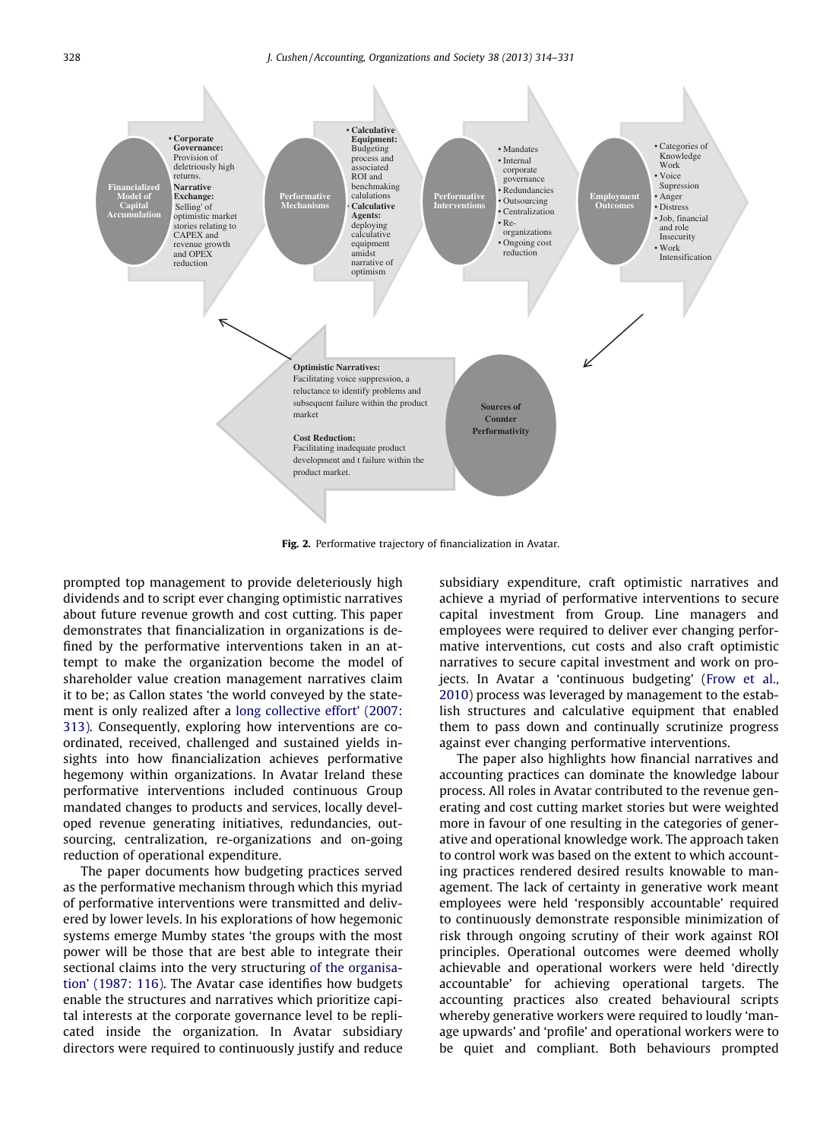<span id="page-14-0"></span>

Fig. 2. Performative trajectory of financialization in Avatar.

prompted top management to provide deleteriously high dividends and to script ever changing optimistic narratives about future revenue growth and cost cutting. This paper demonstrates that financialization in organizations is defined by the performative interventions taken in an attempt to make the organization become the model of shareholder value creation management narratives claim it to be; as Callon states 'the world conveyed by the statement is only realized after a [long collective effort' \(2007:](#page-15-0) [313\)](#page-15-0). Consequently, exploring how interventions are coordinated, received, challenged and sustained yields insights into how financialization achieves performative hegemony within organizations. In Avatar Ireland these performative interventions included continuous Group mandated changes to products and services, locally developed revenue generating initiatives, redundancies, outsourcing, centralization, re-organizations and on-going reduction of operational expenditure.

The paper documents how budgeting practices served as the performative mechanism through which this myriad of performative interventions were transmitted and delivered by lower levels. In his explorations of how hegemonic systems emerge Mumby states 'the groups with the most power will be those that are best able to integrate their sectional claims into the very structuring [of the organisa](#page-16-0)[tion' \(1987: 116\)](#page-16-0). The Avatar case identifies how budgets enable the structures and narratives which prioritize capital interests at the corporate governance level to be replicated inside the organization. In Avatar subsidiary directors were required to continuously justify and reduce

subsidiary expenditure, craft optimistic narratives and achieve a myriad of performative interventions to secure capital investment from Group. Line managers and employees were required to deliver ever changing performative interventions, cut costs and also craft optimistic narratives to secure capital investment and work on projects. In Avatar a 'continuous budgeting' [\(Frow et al.,](#page-16-0) [2010](#page-16-0)) process was leveraged by management to the establish structures and calculative equipment that enabled them to pass down and continually scrutinize progress against ever changing performative interventions.

The paper also highlights how financial narratives and accounting practices can dominate the knowledge labour process. All roles in Avatar contributed to the revenue generating and cost cutting market stories but were weighted more in favour of one resulting in the categories of generative and operational knowledge work. The approach taken to control work was based on the extent to which accounting practices rendered desired results knowable to management. The lack of certainty in generative work meant employees were held 'responsibly accountable' required to continuously demonstrate responsible minimization of risk through ongoing scrutiny of their work against ROI principles. Operational outcomes were deemed wholly achievable and operational workers were held 'directly accountable' for achieving operational targets. The accounting practices also created behavioural scripts whereby generative workers were required to loudly 'manage upwards' and 'profile' and operational workers were to be quiet and compliant. Both behaviours prompted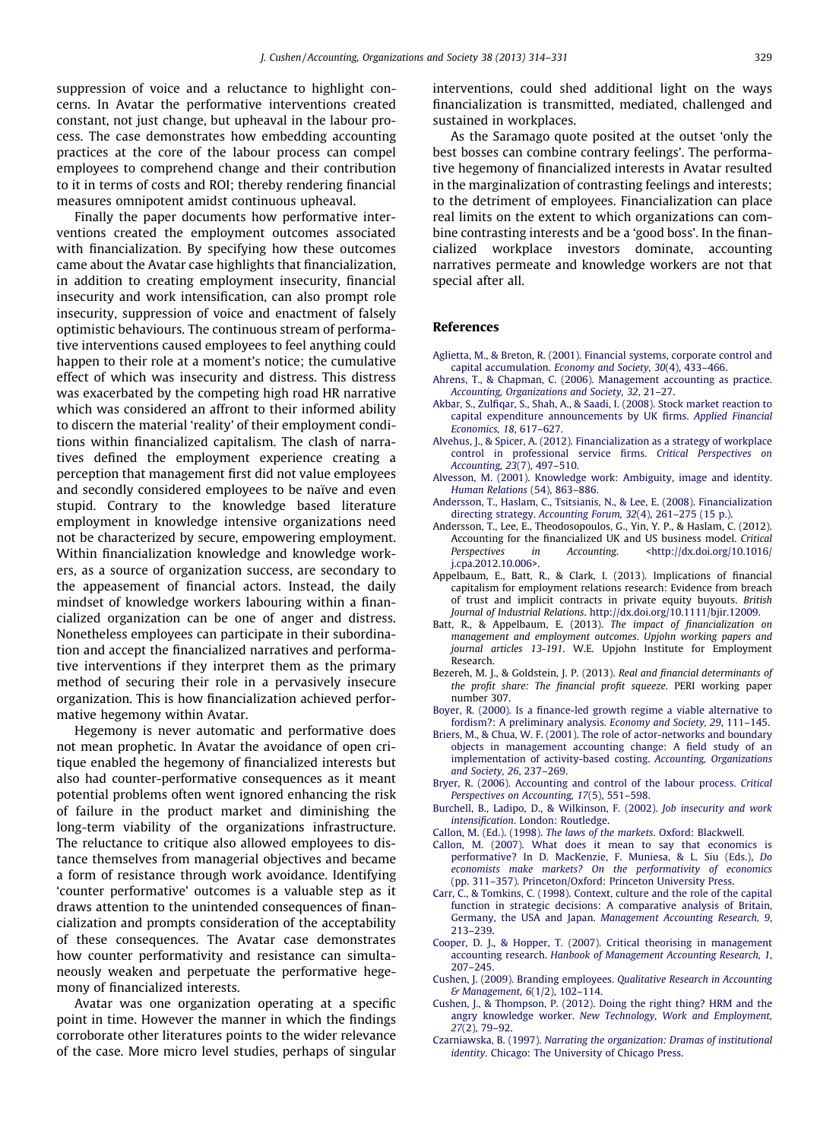<span id="page-15-0"></span>suppression of voice and a reluctance to highlight concerns. In Avatar the performative interventions created constant, not just change, but upheaval in the labour process. The case demonstrates how embedding accounting practices at the core of the labour process can compel employees to comprehend change and their contribution to it in terms of costs and ROI; thereby rendering financial measures omnipotent amidst continuous upheaval.

Finally the paper documents how performative interventions created the employment outcomes associated with financialization. By specifying how these outcomes came about the Avatar case highlights that financialization, in addition to creating employment insecurity, financial insecurity and work intensification, can also prompt role insecurity, suppression of voice and enactment of falsely optimistic behaviours. The continuous stream of performative interventions caused employees to feel anything could happen to their role at a moment's notice; the cumulative effect of which was insecurity and distress. This distress was exacerbated by the competing high road HR narrative which was considered an affront to their informed ability to discern the material 'reality' of their employment conditions within financialized capitalism. The clash of narratives defined the employment experience creating a perception that management first did not value employees and secondly considered employees to be naïve and even stupid. Contrary to the knowledge based literature employment in knowledge intensive organizations need not be characterized by secure, empowering employment. Within financialization knowledge and knowledge workers, as a source of organization success, are secondary to the appeasement of financial actors. Instead, the daily mindset of knowledge workers labouring within a financialized organization can be one of anger and distress. Nonetheless employees can participate in their subordination and accept the financialized narratives and performative interventions if they interpret them as the primary method of securing their role in a pervasively insecure organization. This is how financialization achieved performative hegemony within Avatar.

Hegemony is never automatic and performative does not mean prophetic. In Avatar the avoidance of open critique enabled the hegemony of financialized interests but also had counter-performative consequences as it meant potential problems often went ignored enhancing the risk of failure in the product market and diminishing the long-term viability of the organizations infrastructure. The reluctance to critique also allowed employees to distance themselves from managerial objectives and became a form of resistance through work avoidance. Identifying 'counter performative' outcomes is a valuable step as it draws attention to the unintended consequences of financialization and prompts consideration of the acceptability of these consequences. The Avatar case demonstrates how counter performativity and resistance can simultaneously weaken and perpetuate the performative hegemony of financialized interests.

Avatar was one organization operating at a specific point in time. However the manner in which the findings corroborate other literatures points to the wider relevance of the case. More micro level studies, perhaps of singular

interventions, could shed additional light on the ways financialization is transmitted, mediated, challenged and sustained in workplaces.

As the Saramago quote posited at the outset 'only the best bosses can combine contrary feelings'. The performative hegemony of financialized interests in Avatar resulted in the marginalization of contrasting feelings and interests; to the detriment of employees. Financialization can place real limits on the extent to which organizations can combine contrasting interests and be a 'good boss'. In the financialized workplace investors dominate, accounting narratives permeate and knowledge workers are not that special after all.

#### References

- [Aglietta, M., & Breton, R. \(2001\). Financial systems, corporate control and](http://refhub.elsevier.com/S0361-3682(13)00040-8/h0005) capital accumulation. [Economy and Society, 30](http://refhub.elsevier.com/S0361-3682(13)00040-8/h0005)(4), 433–466.
- [Ahrens, T., & Chapman, C. \(2006\). Management accounting as practice.](http://refhub.elsevier.com/S0361-3682(13)00040-8/h0010) [Accounting, Organizations and Society, 32](http://refhub.elsevier.com/S0361-3682(13)00040-8/h0010), 21–27.
- [Akbar, S., Zulfiqar, S., Shah, A., & Saadi, I. \(2008\). Stock market reaction to](http://refhub.elsevier.com/S0361-3682(13)00040-8/h0015) [capital expenditure announcements by UK firms.](http://refhub.elsevier.com/S0361-3682(13)00040-8/h0015) Applied Financial [Economics, 18](http://refhub.elsevier.com/S0361-3682(13)00040-8/h0015), 617–627.
- [Alvehus, J., & Spicer, A. \(2012\). Financialization as a strategy of workplace](http://refhub.elsevier.com/S0361-3682(13)00040-8/h0020) [control in professional service firms.](http://refhub.elsevier.com/S0361-3682(13)00040-8/h0020) Critical Perspectives on [Accounting, 23](http://refhub.elsevier.com/S0361-3682(13)00040-8/h0020)(7), 497–510.
- [Alvesson, M. \(2001\). Knowledge work: Ambiguity, image and identity.](http://refhub.elsevier.com/S0361-3682(13)00040-8/h0025) [Human Relations](http://refhub.elsevier.com/S0361-3682(13)00040-8/h0025) (54), 863–886.
- [Andersson, T., Haslam, C., Tsitsianis, N., & Lee, E. \(2008\). Financialization](http://refhub.elsevier.com/S0361-3682(13)00040-8/h0030) directing strategy. [Accounting Forum, 32](http://refhub.elsevier.com/S0361-3682(13)00040-8/h0030)(4), 261–275 (15 p.).
- Andersson, T., Lee, E., Theodosopoulos, G., Yin, Y. P., & Haslam, C. (2012). Accounting for the financialized UK and US business model. Critical Perspectives in Accounting.  $\langle h(t) \rangle = \frac{h(t)}{h(t)}$  <http://dx.doi.org/10.1016/  $\n <$ http://dx.doi.org/10.1016/ [j.cpa.2012.10.006>](http://dx.doi.org/10.1016/j.cpa.2012.10.006).
- Appelbaum, E., Batt, R., & Clark, I. (2013). Implications of financial capitalism for employment relations research: Evidence from breach of trust and implicit contracts in private equity buyouts. British Journal of Industrial Relations. [http://dx.doi.org/10.1111/bjir.12009.](http://dx.doi.org/10.1111/bjir.12009)
- Batt, R., & Appelbaum, E. (2013). The impact of financialization on management and employment outcomes. Upjohn working papers and journal articles 13-191. W.E. Upjohn Institute for Employment Research.
- Bezereh, M. J., & Goldstein, J. P. (2013). Real and financial determinants of the profit share: The financial profit squeeze. PERI working paper number 307.
- [Boyer, R. \(2000\). Is a finance-led growth regime a viable alternative to](http://refhub.elsevier.com/S0361-3682(13)00040-8/h0040) [fordism?: A preliminary analysis.](http://refhub.elsevier.com/S0361-3682(13)00040-8/h0040) Economy and Society, 29, 111–145.
- [Briers, M., & Chua, W. F. \(2001\). The role of actor-networks and boundary](http://refhub.elsevier.com/S0361-3682(13)00040-8/h0045) [objects in management accounting change: A field study of an](http://refhub.elsevier.com/S0361-3682(13)00040-8/h0045) [implementation of activity-based costing.](http://refhub.elsevier.com/S0361-3682(13)00040-8/h0045) Accounting, Organizations [and Society, 26](http://refhub.elsevier.com/S0361-3682(13)00040-8/h0045), 237–269.
- [Bryer, R. \(2006\). Accounting and control of the labour process.](http://refhub.elsevier.com/S0361-3682(13)00040-8/h0050) Critical [Perspectives on Accounting, 17](http://refhub.elsevier.com/S0361-3682(13)00040-8/h0050)(5), 551–598.
- [Burchell, B., Ladipo, D., & Wilkinson, F. \(2002\).](http://refhub.elsevier.com/S0361-3682(13)00040-8/h0055) Job insecurity and work intensification[. London: Routledge.](http://refhub.elsevier.com/S0361-3682(13)00040-8/h0055)
- [Callon, M. \(Ed.\). \(1998\).](http://refhub.elsevier.com/S0361-3682(13)00040-8/h0060) The laws of the markets. Oxford: Blackwell.
- [Callon, M. \(2007\). What does it mean to say that economics is](http://refhub.elsevier.com/S0361-3682(13)00040-8/h0065) [performative? In D. MacKenzie, F. Muniesa, & L. Siu \(Eds.\),](http://refhub.elsevier.com/S0361-3682(13)00040-8/h0065) Do [economists make markets? On the performativity of economics](http://refhub.elsevier.com/S0361-3682(13)00040-8/h0065) [\(pp. 311–357\). Princeton/Oxford: Princeton University Press](http://refhub.elsevier.com/S0361-3682(13)00040-8/h0065).
- [Carr, C., & Tomkins, C. \(1998\). Context, culture and the role of the capital](http://refhub.elsevier.com/S0361-3682(13)00040-8/h0070) [function in strategic decisions: A comparative analysis of Britain,](http://refhub.elsevier.com/S0361-3682(13)00040-8/h0070) Germany, the USA and Japan. [Management Accounting Research, 9](http://refhub.elsevier.com/S0361-3682(13)00040-8/h0070), [213–239.](http://refhub.elsevier.com/S0361-3682(13)00040-8/h0070)
- [Cooper, D. J., & Hopper, T. \(2007\). Critical theorising in management](http://refhub.elsevier.com/S0361-3682(13)00040-8/h0075) accounting research. [Hanbook of Management Accounting Research, 1](http://refhub.elsevier.com/S0361-3682(13)00040-8/h0075), [207–245.](http://refhub.elsevier.com/S0361-3682(13)00040-8/h0075)
- [Cushen, J. \(2009\). Branding employees.](http://refhub.elsevier.com/S0361-3682(13)00040-8/h0078) Qualitative Research in Accounting [& Management, 6](http://refhub.elsevier.com/S0361-3682(13)00040-8/h0078)(1/2), 102–114.
- [Cushen, J., & Thompson, P. \(2012\). Doing the right thing? HRM and the](http://refhub.elsevier.com/S0361-3682(13)00040-8/h0076) angry knowledge worker. [New Technology, Work and Employment,](http://refhub.elsevier.com/S0361-3682(13)00040-8/h0076) 27[\(2\), 79–92.](http://refhub.elsevier.com/S0361-3682(13)00040-8/h0076)
- Czarniawska, B. (1997). [Narrating the organization: Dramas of institutional](http://refhub.elsevier.com/S0361-3682(13)00040-8/h0081) identity[. Chicago: The University of Chicago Press.](http://refhub.elsevier.com/S0361-3682(13)00040-8/h0081)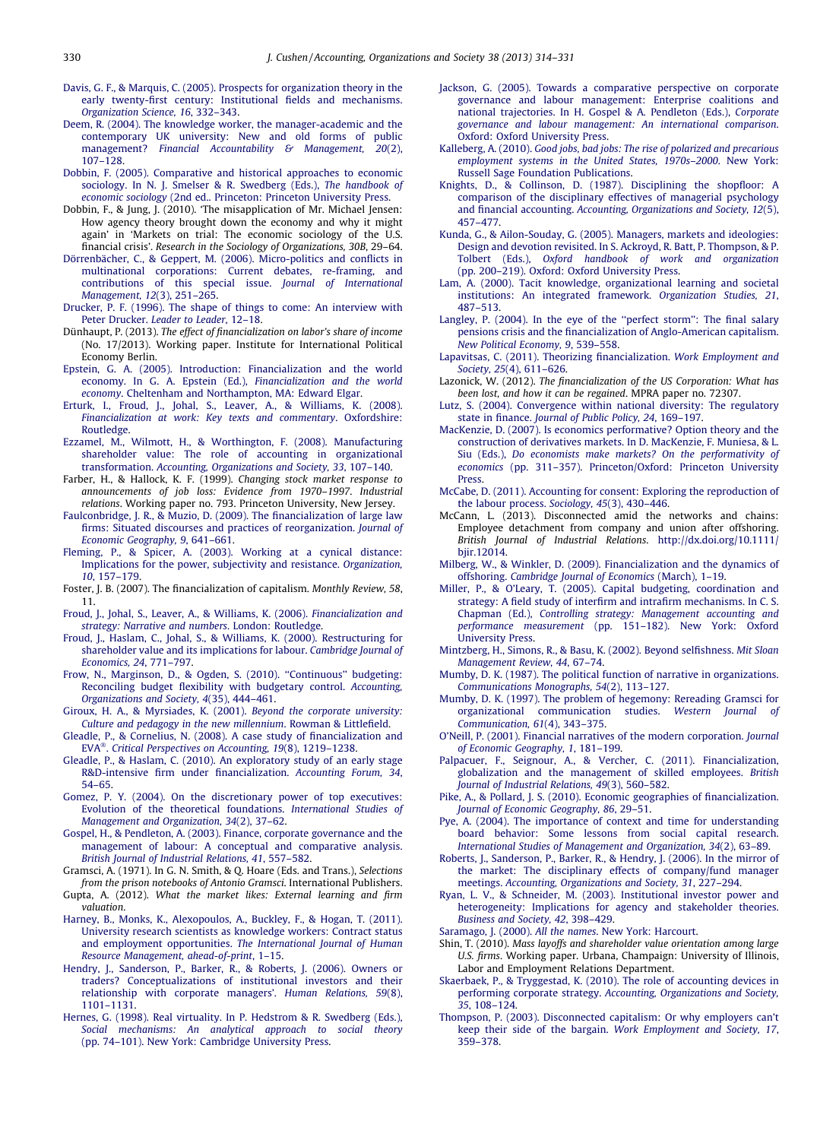- <span id="page-16-0"></span>[Davis, G. F., & Marquis, C. \(2005\). Prospects for organization theory in the](http://refhub.elsevier.com/S0361-3682(13)00040-8/h0085) [early twenty-first century: Institutional fields and mechanisms.](http://refhub.elsevier.com/S0361-3682(13)00040-8/h0085) [Organization Science, 16](http://refhub.elsevier.com/S0361-3682(13)00040-8/h0085), 332–343.
- [Deem, R. \(2004\). The knowledge worker, the manager-academic and the](http://refhub.elsevier.com/S0361-3682(13)00040-8/h0090) [contemporary UK university: New and old forms of public](http://refhub.elsevier.com/S0361-3682(13)00040-8/h0090) management? [Financial Accountability & Management, 20](http://refhub.elsevier.com/S0361-3682(13)00040-8/h0090)(2), [107–128.](http://refhub.elsevier.com/S0361-3682(13)00040-8/h0090)
- [Dobbin, F. \(2005\). Comparative and historical approaches to economic](http://refhub.elsevier.com/S0361-3682(13)00040-8/h0095) [sociology. In N. J. Smelser & R. Swedberg \(Eds.\),](http://refhub.elsevier.com/S0361-3682(13)00040-8/h0095) The handbook of economic sociology [\(2nd ed.. Princeton: Princeton University Press](http://refhub.elsevier.com/S0361-3682(13)00040-8/h0095).
- Dobbin, F., & Jung, J. (2010). 'The misapplication of Mr. Michael Jensen: How agency theory brought down the economy and why it might again' in 'Markets on trial: The economic sociology of the U.S. financial crisis'. Research in the Sociology of Organizations, 30B, 29–64.
- [Dörrenbächer, C., & Geppert, M. \(2006\). Micro-politics and conflicts in](http://refhub.elsevier.com/S0361-3682(13)00040-8/h0100) [multinational corporations: Current debates, re-framing, and](http://refhub.elsevier.com/S0361-3682(13)00040-8/h0100) [contributions of this special issue.](http://refhub.elsevier.com/S0361-3682(13)00040-8/h0100) Journal of International [Management, 12](http://refhub.elsevier.com/S0361-3682(13)00040-8/h0100)(3), 251–265.
- [Drucker, P. F. \(1996\). The shape of things to come: An interview with](http://refhub.elsevier.com/S0361-3682(13)00040-8/h0105) Peter Drucker. [Leader to Leader](http://refhub.elsevier.com/S0361-3682(13)00040-8/h0105), 12–18.
- Dünhaupt, P. (2013). The effect of financialization on labor's share of income (No. 17/2013). Working paper. Institute for International Political Economy Berlin.
- [Epstein, G. A. \(2005\). Introduction: Financialization and the world](http://refhub.elsevier.com/S0361-3682(13)00040-8/h0110) [economy. In G. A. Epstein \(Ed.\),](http://refhub.elsevier.com/S0361-3682(13)00040-8/h0110) Financialization and the world economy[. Cheltenham and Northampton, MA: Edward Elgar.](http://refhub.elsevier.com/S0361-3682(13)00040-8/h0110)
- [Erturk, I., Froud, J., Johal, S., Leaver, A., & Williams, K. \(2008\).](http://refhub.elsevier.com/S0361-3682(13)00040-8/h0115) [Financialization at work: Key texts and commentary](http://refhub.elsevier.com/S0361-3682(13)00040-8/h0115). Oxfordshire: [Routledge](http://refhub.elsevier.com/S0361-3682(13)00040-8/h0115).
- [Ezzamel, M., Wilmott, H., & Worthington, F. \(2008\). Manufacturing](http://refhub.elsevier.com/S0361-3682(13)00040-8/h0125) [shareholder value: The role of accounting in organizational](http://refhub.elsevier.com/S0361-3682(13)00040-8/h0125) transformation. [Accounting, Organizations and Society, 33](http://refhub.elsevier.com/S0361-3682(13)00040-8/h0125), 107–140.
- Farber, H., & Hallock, K. F. (1999). Changing stock market response to announcements of job loss: Evidence from 1970–1997. Industrial relations. Working paper no. 793. Princeton University, New Jersey.
- [Faulconbridge, J. R., & Muzio, D. \(2009\). The financialization of large law](http://refhub.elsevier.com/S0361-3682(13)00040-8/h0130) [firms: Situated discourses and practices of reorganization.](http://refhub.elsevier.com/S0361-3682(13)00040-8/h0130) Journal of [Economic Geography, 9](http://refhub.elsevier.com/S0361-3682(13)00040-8/h0130), 641–661.
- [Fleming, P., & Spicer, A. \(2003\). Working at a cynical distance:](http://refhub.elsevier.com/S0361-3682(13)00040-8/h0135) [Implications for the power, subjectivity and resistance.](http://refhub.elsevier.com/S0361-3682(13)00040-8/h0135) Organization, 10[, 157–179.](http://refhub.elsevier.com/S0361-3682(13)00040-8/h0135)
- Foster, J. B. (2007). The financialization of capitalism. Monthly Review, 58, 11.
- [Froud, J., Johal, S., Leaver, A., & Williams, K. \(2006\).](http://refhub.elsevier.com/S0361-3682(13)00040-8/h0140) Financialization and [strategy: Narrative and numbers](http://refhub.elsevier.com/S0361-3682(13)00040-8/h0140). London: Routledge.
- [Froud, J., Haslam, C., Johal, S., & Williams, K. \(2000\). Restructuring for](http://refhub.elsevier.com/S0361-3682(13)00040-8/h0145) [shareholder value and its implications for labour.](http://refhub.elsevier.com/S0361-3682(13)00040-8/h0145) Cambridge Journal of [Economics, 24](http://refhub.elsevier.com/S0361-3682(13)00040-8/h0145), 771–797.
- [Frow, N., Marginson, D., & Ogden, S. \(2010\). ''Continuous'' budgeting:](http://refhub.elsevier.com/S0361-3682(13)00040-8/h0150) [Reconciling budget flexibility with budgetary control.](http://refhub.elsevier.com/S0361-3682(13)00040-8/h0150) Accounting, [Organizations and Society, 4](http://refhub.elsevier.com/S0361-3682(13)00040-8/h0150)(35), 444–461.
- [Giroux, H. A., & Myrsiades, K. \(2001\).](http://refhub.elsevier.com/S0361-3682(13)00040-8/h0155) Beyond the corporate university: [Culture and pedagogy in the new millennium](http://refhub.elsevier.com/S0361-3682(13)00040-8/h0155). Rowman & Littlefield.
- [Gleadle, P., & Cornelius, N. \(2008\). A case study of financialization and](http://refhub.elsevier.com/S0361-3682(13)00040-8/h0160) [EVA](http://refhub.elsevier.com/S0361-3682(13)00040-8/h0160)®. [Critical Perspectives on Accounting, 19](http://refhub.elsevier.com/S0361-3682(13)00040-8/h0160)(8), 1219-1238.
- [Gleadle, P., & Haslam, C. \(2010\). An exploratory study of an early stage](http://refhub.elsevier.com/S0361-3682(13)00040-8/h0165) [R&D-intensive firm under financialization.](http://refhub.elsevier.com/S0361-3682(13)00040-8/h0165) Accounting Forum, 34, [54–65](http://refhub.elsevier.com/S0361-3682(13)00040-8/h0165).
- [Gomez, P. Y. \(2004\). On the discretionary power of top executives:](http://refhub.elsevier.com/S0361-3682(13)00040-8/h0170) [Evolution of the theoretical foundations.](http://refhub.elsevier.com/S0361-3682(13)00040-8/h0170) International Studies of [Management and Organization, 34](http://refhub.elsevier.com/S0361-3682(13)00040-8/h0170)(2), 37–62.
- [Gospel, H., & Pendleton, A. \(2003\). Finance, corporate governance and the](http://refhub.elsevier.com/S0361-3682(13)00040-8/h0175) [management of labour: A conceptual and comparative analysis.](http://refhub.elsevier.com/S0361-3682(13)00040-8/h0175) [British Journal of Industrial Relations, 41](http://refhub.elsevier.com/S0361-3682(13)00040-8/h0175), 557–582.
- Gramsci, A. (1971). In G. N. Smith, & Q. Hoare (Eds. and Trans.), Selections from the prison notebooks of Antonio Gramsci. International Publishers.
- Gupta, A. (2012). What the market likes: External learning and firm valuation.
- [Harney, B., Monks, K., Alexopoulos, A., Buckley, F., & Hogan, T. \(2011\).](http://refhub.elsevier.com/S0361-3682(13)00040-8/h0186) [University research scientists as knowledge workers: Contract status](http://refhub.elsevier.com/S0361-3682(13)00040-8/h0186) and employment opportunities. [The International Journal of Human](http://refhub.elsevier.com/S0361-3682(13)00040-8/h0186) [Resource Management, ahead-of-print](http://refhub.elsevier.com/S0361-3682(13)00040-8/h0186), 1–15.
- [Hendry, J., Sanderson, P., Barker, R., & Roberts, J. \(2006\). Owners or](http://refhub.elsevier.com/S0361-3682(13)00040-8/h0185) [traders? Conceptualizations of institutional investors and their](http://refhub.elsevier.com/S0361-3682(13)00040-8/h0185) [relationship with corporate managers'.](http://refhub.elsevier.com/S0361-3682(13)00040-8/h0185) Human Relations, 59(8), [1101–1131](http://refhub.elsevier.com/S0361-3682(13)00040-8/h0185).
- [Hernes, G. \(1998\). Real virtuality. In P. Hedstrom & R. Swedberg \(Eds.\),](http://refhub.elsevier.com/S0361-3682(13)00040-8/h0190) [Social mechanisms: An analytical approach to social theory](http://refhub.elsevier.com/S0361-3682(13)00040-8/h0190) [\(pp. 74–101\). New York: Cambridge University Press](http://refhub.elsevier.com/S0361-3682(13)00040-8/h0190).
- [Jackson, G. \(2005\). Towards a comparative perspective on corporate](http://refhub.elsevier.com/S0361-3682(13)00040-8/h0195) [governance and labour management: Enterprise coalitions and](http://refhub.elsevier.com/S0361-3682(13)00040-8/h0195) [national trajectories. In H. Gospel & A. Pendleton \(Eds.\),](http://refhub.elsevier.com/S0361-3682(13)00040-8/h0195) Corporate [governance and labour management: An international comparison](http://refhub.elsevier.com/S0361-3682(13)00040-8/h0195). [Oxford: Oxford University Press](http://refhub.elsevier.com/S0361-3682(13)00040-8/h0195).
- Kalleberg, A. (2010). [Good jobs, bad jobs: The rise of polarized and precarious](http://refhub.elsevier.com/S0361-3682(13)00040-8/h0200) [employment systems in the United States, 1970s–2000](http://refhub.elsevier.com/S0361-3682(13)00040-8/h0200). New York: [Russell Sage Foundation Publications.](http://refhub.elsevier.com/S0361-3682(13)00040-8/h0200)
- [Knights, D., & Collinson, D. \(1987\). Disciplining the shopfloor: A](http://refhub.elsevier.com/S0361-3682(13)00040-8/h0205) [comparison of the disciplinary effectives of managerial psychology](http://refhub.elsevier.com/S0361-3682(13)00040-8/h0205) and financial accounting. [Accounting, Organizations and Society, 12](http://refhub.elsevier.com/S0361-3682(13)00040-8/h0205)(5), [457–477.](http://refhub.elsevier.com/S0361-3682(13)00040-8/h0205)
- [Kunda, G., & Ailon-Souday, G. \(2005\). Managers, markets and ideologies:](http://refhub.elsevier.com/S0361-3682(13)00040-8/h0210) [Design and devotion revisited. In S. Ackroyd, R. Batt, P. Thompson, & P.](http://refhub.elsevier.com/S0361-3682(13)00040-8/h0210) Tolbert (Eds.), [Oxford handbook of work and organization](http://refhub.elsevier.com/S0361-3682(13)00040-8/h0210) [\(pp. 200–219\). Oxford: Oxford University Press.](http://refhub.elsevier.com/S0361-3682(13)00040-8/h0210)
- [Lam, A. \(2000\). Tacit knowledge, organizational learning and societal](http://refhub.elsevier.com/S0361-3682(13)00040-8/h0215) [institutions: An integrated framework.](http://refhub.elsevier.com/S0361-3682(13)00040-8/h0215) Organization Studies, 21, [487–513.](http://refhub.elsevier.com/S0361-3682(13)00040-8/h0215)
- [Langley, P. \(2004\). In the eye of the ''perfect storm'': The final salary](http://refhub.elsevier.com/S0361-3682(13)00040-8/h0220) [pensions crisis and the financialization of Anglo-American capitalism.](http://refhub.elsevier.com/S0361-3682(13)00040-8/h0220) [New Political Economy, 9](http://refhub.elsevier.com/S0361-3682(13)00040-8/h0220), 539–558.
- [Lapavitsas, C. \(2011\). Theorizing financialization.](http://refhub.elsevier.com/S0361-3682(13)00040-8/h0225) Work Employment and Society, 25[\(4\), 611–626](http://refhub.elsevier.com/S0361-3682(13)00040-8/h0225).
- Lazonick, W. (2012). The financialization of the US Corporation: What has been lost, and how it can be regained. MPRA paper no. 72307.
- [Lutz, S. \(2004\). Convergence within national diversity: The regulatory](http://refhub.elsevier.com/S0361-3682(13)00040-8/h0230) state in finance. [Journal of Public Policy, 24](http://refhub.elsevier.com/S0361-3682(13)00040-8/h0230), 169–197.
- [MacKenzie, D. \(2007\). Is economics performative? Option theory and the](http://refhub.elsevier.com/S0361-3682(13)00040-8/h0235) [construction of derivatives markets. In D. MacKenzie, F. Muniesa, & L.](http://refhub.elsevier.com/S0361-3682(13)00040-8/h0235) Siu (Eds.), [Do economists make markets? On the performativity of](http://refhub.elsevier.com/S0361-3682(13)00040-8/h0235) economics [\(pp. 311–357\). Princeton/Oxford: Princeton University](http://refhub.elsevier.com/S0361-3682(13)00040-8/h0235) [Press.](http://refhub.elsevier.com/S0361-3682(13)00040-8/h0235)
- [McCabe, D. \(2011\). Accounting for consent: Exploring the reproduction of](http://refhub.elsevier.com/S0361-3682(13)00040-8/h0245) [the labour process.](http://refhub.elsevier.com/S0361-3682(13)00040-8/h0245) Sociology, 45(3), 430–446.
- McCann, L. (2013). Disconnected amid the networks and chains: Employee detachment from company and union after offshoring. British Journal of Industrial Relations. [http://dx.doi.org/10.1111/](http://dx.doi.org/10.1111/bjir.12014) [bjir.12014](http://dx.doi.org/10.1111/bjir.12014).
- [Milberg, W., & Winkler, D. \(2009\). Financialization and the dynamics of](http://refhub.elsevier.com/S0361-3682(13)00040-8/h0255) offshoring. [Cambridge Journal of Economics](http://refhub.elsevier.com/S0361-3682(13)00040-8/h0255) (March), 1–19.
- [Miller, P., & O'Leary, T. \(2005\). Capital budgeting, coordination and](http://refhub.elsevier.com/S0361-3682(13)00040-8/h0260) [strategy: A field study of interfirm and intrafirm mechanisms. In C. S.](http://refhub.elsevier.com/S0361-3682(13)00040-8/h0260) Chapman (Ed.), [Controlling strategy: Management accounting and](http://refhub.elsevier.com/S0361-3682(13)00040-8/h0260) performance measurement [\(pp. 151–182\). New York: Oxford](http://refhub.elsevier.com/S0361-3682(13)00040-8/h0260) [University Press](http://refhub.elsevier.com/S0361-3682(13)00040-8/h0260).
- [Mintzberg, H., Simons, R., & Basu, K. \(2002\). Beyond selfishness.](http://refhub.elsevier.com/S0361-3682(13)00040-8/h0265) Mit Sloan [Management Review, 44](http://refhub.elsevier.com/S0361-3682(13)00040-8/h0265), 67–74.
- [Mumby, D. K. \(1987\). The political function of narrative in organizations.](http://refhub.elsevier.com/S0361-3682(13)00040-8/h0270) [Communications Monographs, 54](http://refhub.elsevier.com/S0361-3682(13)00040-8/h0270)(2), 113–127.
- [Mumby, D. K. \(1997\). The problem of hegemony: Rereading Gramsci for](http://refhub.elsevier.com/S0361-3682(13)00040-8/h0275) [organizational communication studies.](http://refhub.elsevier.com/S0361-3682(13)00040-8/h0275) Western Journal [Communication, 61](http://refhub.elsevier.com/S0361-3682(13)00040-8/h0275)(4), 343–375.
- [O'Neill, P. \(2001\). Financial narratives of the modern corporation.](http://refhub.elsevier.com/S0361-3682(13)00040-8/h0280) Journal [of Economic Geography, 1](http://refhub.elsevier.com/S0361-3682(13)00040-8/h0280), 181–199.
- [Palpacuer, F., Seignour, A., & Vercher, C. \(2011\). Financialization,](http://refhub.elsevier.com/S0361-3682(13)00040-8/h0285) [globalization and the management of skilled employees.](http://refhub.elsevier.com/S0361-3682(13)00040-8/h0285) British [Journal of Industrial Relations, 49](http://refhub.elsevier.com/S0361-3682(13)00040-8/h0285)(3), 560–582.
- [Pike, A., & Pollard, J. S. \(2010\). Economic geographies of financialization.](http://refhub.elsevier.com/S0361-3682(13)00040-8/h0290) [Journal of Economic Geography, 86](http://refhub.elsevier.com/S0361-3682(13)00040-8/h0290), 29–51.
- [Pye, A. \(2004\). The importance of context and time for understanding](http://refhub.elsevier.com/S0361-3682(13)00040-8/h0295) [board behavior: Some lessons from social capital research.](http://refhub.elsevier.com/S0361-3682(13)00040-8/h0295) [International Studies of Management and Organization, 34](http://refhub.elsevier.com/S0361-3682(13)00040-8/h0295)(2), 63–89.
- [Roberts, J., Sanderson, P., Barker, R., & Hendry, J. \(2006\). In the mirror of](http://refhub.elsevier.com/S0361-3682(13)00040-8/h0300) [the market: The disciplinary effects of company/fund manager](http://refhub.elsevier.com/S0361-3682(13)00040-8/h0300) meetings. [Accounting, Organizations and Society, 31](http://refhub.elsevier.com/S0361-3682(13)00040-8/h0300), 227–294.
- [Ryan, L. V., & Schneider, M. \(2003\). Institutional investor power and](http://refhub.elsevier.com/S0361-3682(13)00040-8/h0305) [heterogeneity: Implications for agency and stakeholder theories.](http://refhub.elsevier.com/S0361-3682(13)00040-8/h0305) [Business and Society, 42](http://refhub.elsevier.com/S0361-3682(13)00040-8/h0305), 398–429.
- Saramago, J. (2000). All the names[. New York: Harcourt](http://refhub.elsevier.com/S0361-3682(13)00040-8/h0310).
- Shin, T. (2010). Mass layoffs and shareholder value orientation among large U.S. firms. Working paper. Urbana, Champaign: University of Illinois, Labor and Employment Relations Department.
- [Skaerbaek, P., & Tryggestad, K. \(2010\). The role of accounting devices in](http://refhub.elsevier.com/S0361-3682(13)00040-8/h0315) performing corporate strategy. [Accounting, Organizations and Society,](http://refhub.elsevier.com/S0361-3682(13)00040-8/h0315) 35[, 108–124.](http://refhub.elsevier.com/S0361-3682(13)00040-8/h0315)
- [Thompson, P. \(2003\). Disconnected capitalism: Or why employers can't](http://refhub.elsevier.com/S0361-3682(13)00040-8/h0320) keep their side of the bargain. [Work Employment and Society, 17](http://refhub.elsevier.com/S0361-3682(13)00040-8/h0320), [359–378.](http://refhub.elsevier.com/S0361-3682(13)00040-8/h0320)